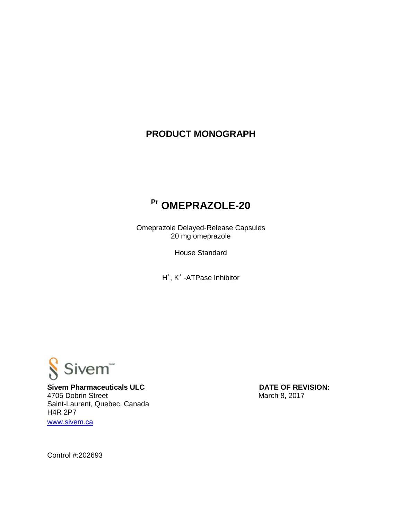# **PRODUCT MONOGRAPH**

# **Pr OMEPRAZOLE-20**

Omeprazole Delayed-Release Capsules 20 mg omeprazole

House Standard

H<sup>+</sup>, K<sup>+</sup> -ATPase Inhibitor



**Sivem Pharmaceuticals ULC** DATE OF REVISION: 4705 Dobrin Street March 8, 2017 Saint-Laurent, Quebec, Canada H4R 2P7 [www.sivem.ca](http://www.sivem.ca/)

Control #:202693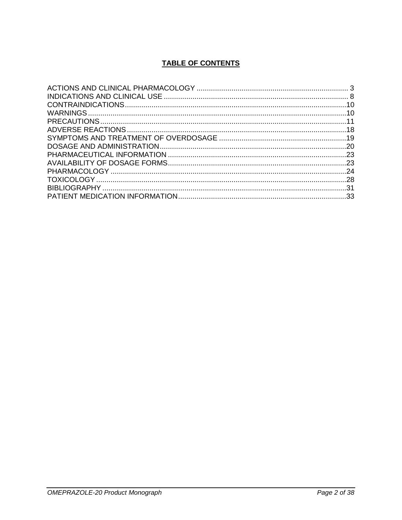# **TABLE OF CONTENTS**

| -24 |
|-----|
|     |
|     |
|     |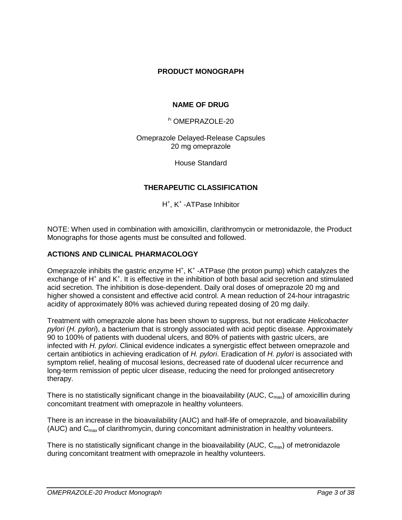# **PRODUCT MONOGRAPH**

# **NAME OF DRUG**

Pr OMEPRAZOLE-20

Omeprazole Delayed-Release Capsules 20 mg omeprazole

House Standard

# **THERAPEUTIC CLASSIFICATION**

H<sup>+</sup>, K<sup>+</sup> -ATPase Inhibitor

NOTE: When used in combination with amoxicillin, clarithromycin or metronidazole, the Product Monographs for those agents must be consulted and followed.

### **ACTIONS AND CLINICAL PHARMACOLOGY**

Omeprazole inhibits the gastric enzyme H<sup>+</sup>, K<sup>+</sup>-ATPase (the proton pump) which catalyzes the exchange of H<sup>+</sup> and K<sup>+</sup>. It is effective in the inhibition of both basal acid secretion and stimulated acid secretion. The inhibition is dose-dependent. Daily oral doses of omeprazole 20 mg and higher showed a consistent and effective acid control. A mean reduction of 24-hour intragastric acidity of approximately 80% was achieved during repeated dosing of 20 mg daily.

Treatment with omeprazole alone has been shown to suppress, but not eradicate *Helicobacter pylori* (*H. pylori*), a bacterium that is strongly associated with acid peptic disease. Approximately 90 to 100% of patients with duodenal ulcers, and 80% of patients with gastric ulcers, are infected with *H. pylori*. Clinical evidence indicates a synergistic effect between omeprazole and certain antibiotics in achieving eradication of *H. pylori*. Eradication of *H. pylori* is associated with symptom relief, healing of mucosal lesions, decreased rate of duodenal ulcer recurrence and long-term remission of peptic ulcer disease, reducing the need for prolonged antisecretory therapy.

There is no statistically significant change in the bioavailability (AUC,  $C_{\text{max}}$ ) of amoxicillin during concomitant treatment with omeprazole in healthy volunteers.

There is an increase in the bioavailability (AUC) and half-life of omeprazole, and bioavailability (AUC) and  $C_{\text{max}}$  of clarithromycin, during concomitant administration in healthy volunteers.

There is no statistically significant change in the bioavailability (AUC,  $C_{\text{max}}$ ) of metronidazole during concomitant treatment with omeprazole in healthy volunteers.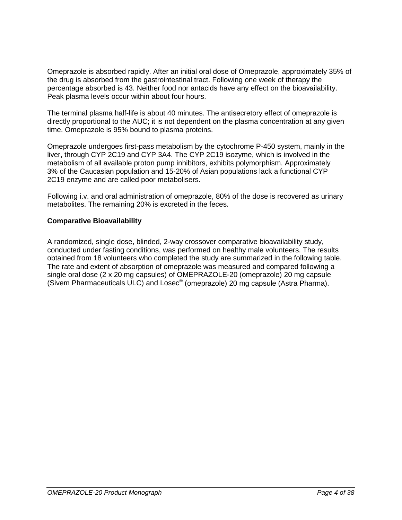Omeprazole is absorbed rapidly. After an initial oral dose of Omeprazole, approximately 35% of the drug is absorbed from the gastrointestinal tract. Following one week of therapy the percentage absorbed is 43. Neither food nor antacids have any effect on the bioavailability. Peak plasma levels occur within about four hours.

The terminal plasma half-life is about 40 minutes. The antisecretory effect of omeprazole is directly proportional to the AUC; it is not dependent on the plasma concentration at any given time. Omeprazole is 95% bound to plasma proteins.

Omeprazole undergoes first-pass metabolism by the cytochrome P-450 system, mainly in the liver, through CYP 2C19 and CYP 3A4. The CYP 2C19 isozyme, which is involved in the metabolism of all available proton pump inhibitors, exhibits polymorphism. Approximately 3% of the Caucasian population and 15-20% of Asian populations lack a functional CYP 2C19 enzyme and are called poor metabolisers.

Following i.v. and oral administration of omeprazole, 80% of the dose is recovered as urinary metabolites. The remaining 20% is excreted in the feces.

### **Comparative Bioavailability**

A randomized, single dose, blinded, 2-way crossover comparative bioavailability study, conducted under fasting conditions, was performed on healthy male volunteers. The results obtained from 18 volunteers who completed the study are summarized in the following table. The rate and extent of absorption of omeprazole was measured and compared following a single oral dose (2 x 20 mg capsules) of OMEPRAZOLE-20 (omeprazole) 20 mg capsule (Sivem Pharmaceuticals ULC) and Losec® (omeprazole) 20 mg capsule (Astra Pharma).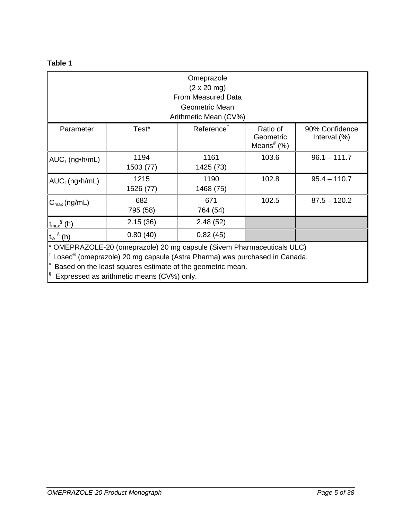# **Table 1**

| Omeprazole<br>$(2 \times 20 \text{ mg})$                                                                                                                                                                                                                                                                |                   |                        |                                        |                                   |
|---------------------------------------------------------------------------------------------------------------------------------------------------------------------------------------------------------------------------------------------------------------------------------------------------------|-------------------|------------------------|----------------------------------------|-----------------------------------|
|                                                                                                                                                                                                                                                                                                         |                   | From Measured Data     |                                        |                                   |
|                                                                                                                                                                                                                                                                                                         |                   | Geometric Mean         |                                        |                                   |
|                                                                                                                                                                                                                                                                                                         |                   | Arithmetic Mean (CV%)  |                                        |                                   |
| Parameter                                                                                                                                                                                                                                                                                               | Test*             | Reference <sup>†</sup> | Ratio of<br>Geometric<br>Means $#$ (%) | 90% Confidence<br>Interval $(\%)$ |
| $AUC$ <sub>T</sub> (ng•h/mL)                                                                                                                                                                                                                                                                            | 1194<br>1503 (77) | 1161<br>1425 (73)      | 103.6                                  | $96.1 - 111.7$                    |
| $AUC_1$ (ng•h/mL)                                                                                                                                                                                                                                                                                       | 1215<br>1526 (77) | 1190<br>1468 (75)      | 102.8                                  | $95.4 - 110.7$                    |
| $C_{\text{max}}$ (ng/mL)                                                                                                                                                                                                                                                                                | 682<br>795 (58)   | 671<br>764 (54)        | 102.5                                  | $87.5 - 120.2$                    |
| $t_{\text{max}}^{\S}$ (h)                                                                                                                                                                                                                                                                               | 2.15(36)          | 2.48(52)               |                                        |                                   |
| $t_{\frac{1}{2}}$ $\frac{8}{2}$ (h)                                                                                                                                                                                                                                                                     | 0.80(40)          | 0.82(45)               |                                        |                                   |
| * OMEPRAZOLE-20 (omeprazole) 20 mg capsule (Sivem Pharmaceuticals ULC)<br>$^{\dagger}$ Losec <sup>®</sup> (omeprazole) 20 mg capsule (Astra Pharma) was purchased in Canada.<br>Based on the least squares estimate of the geometric mean.<br><sup>§</sup><br>Expressed as arithmetic means (CV%) only. |                   |                        |                                        |                                   |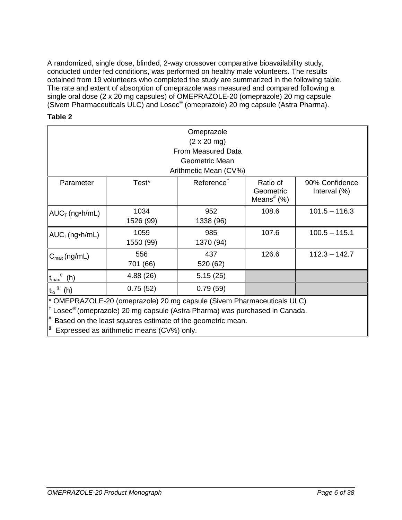A randomized, single dose, blinded, 2-way crossover comparative bioavailability study, conducted under fed conditions, was performed on healthy male volunteers. The results obtained from 19 volunteers who completed the study are summarized in the following table. The rate and extent of absorption of omeprazole was measured and compared following a single oral dose (2 x 20 mg capsules) of OMEPRAZOLE-20 (omeprazole) 20 mg capsule (Sivem Pharmaceuticals ULC) and Losec<sup>®</sup> (omeprazole) 20 mg capsule (Astra Pharma).

# **Table 2**

| Omeprazole                                                                                         |           |                            |                                                    |                                   |  |  |
|----------------------------------------------------------------------------------------------------|-----------|----------------------------|----------------------------------------------------|-----------------------------------|--|--|
|                                                                                                    |           | $(2 \times 20 \text{ mg})$ |                                                    |                                   |  |  |
|                                                                                                    |           | <b>From Measured Data</b>  |                                                    |                                   |  |  |
|                                                                                                    |           | Geometric Mean             |                                                    |                                   |  |  |
|                                                                                                    |           | Arithmetic Mean (CV%)      |                                                    |                                   |  |  |
| Parameter                                                                                          | Test*     | Reference <sup>†</sup>     | Ratio of<br>Geometric<br>Means <sup>#</sup> $(\%)$ | 90% Confidence<br>Interval $(\%)$ |  |  |
| $AUC$ <sub>T</sub> (ng•h/mL)                                                                       | 1034      | 952                        | 108.6                                              | $101.5 - 116.3$                   |  |  |
|                                                                                                    | 1526 (99) | 1338 (96)                  |                                                    |                                   |  |  |
| $AUC_1$ (ng•h/mL)                                                                                  | 1059      | 985                        | 107.6                                              | $100.5 - 115.1$                   |  |  |
|                                                                                                    | 1550 (99) | 1370 (94)                  |                                                    |                                   |  |  |
| $C_{\text{max}}$ (ng/mL)                                                                           | 556       | 437                        | 126.6                                              | $112.3 - 142.7$                   |  |  |
|                                                                                                    | 701 (66)  | 520 (62)                   |                                                    |                                   |  |  |
| $t_{\text{max}}^{\S}$ (h)                                                                          | 4.88 (26) | 5.15(25)                   |                                                    |                                   |  |  |
| 0.75(52)<br>0.79(59)<br>$t_{\frac{1}{2}}$ $(n)$                                                    |           |                            |                                                    |                                   |  |  |
| * OMEPRAZOLE-20 (omeprazole) 20 mg capsule (Sivem Pharmaceuticals ULC)                             |           |                            |                                                    |                                   |  |  |
| $^{\dagger}$ Losec <sup>®</sup> (omeprazole) 20 mg capsule (Astra Pharma) was purchased in Canada. |           |                            |                                                    |                                   |  |  |
| Based on the least squares estimate of the geometric mean.                                         |           |                            |                                                    |                                   |  |  |
| Ş<br>Expressed as arithmetic means (CV%) only.                                                     |           |                            |                                                    |                                   |  |  |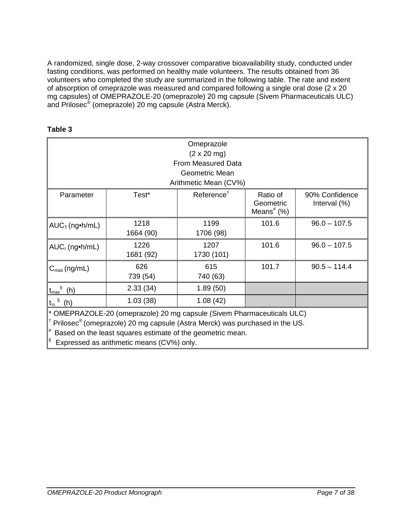A randomized, single dose, 2-way crossover comparative bioavailability study, conducted under fasting conditions, was performed on healthy male volunteers. The results obtained from 36 volunteers who completed the study are summarized in the following table. The rate and extent of absorption of omeprazole was measured and compared following a single oral dose (2 x 20 mg capsules) of OMEPRAZOLE-20 (omeprazole) 20 mg capsule (Sivem Pharmaceuticals ULC) and Prilosec® (omeprazole) 20 mg capsule (Astra Merck).

| Omeprazole                                                                                                                                                                                                                                                                                     |                   |                            |                                                    |                                   |  |  |
|------------------------------------------------------------------------------------------------------------------------------------------------------------------------------------------------------------------------------------------------------------------------------------------------|-------------------|----------------------------|----------------------------------------------------|-----------------------------------|--|--|
|                                                                                                                                                                                                                                                                                                |                   | $(2 \times 20 \text{ mg})$ |                                                    |                                   |  |  |
|                                                                                                                                                                                                                                                                                                |                   | From Measured Data         |                                                    |                                   |  |  |
|                                                                                                                                                                                                                                                                                                |                   | Geometric Mean             |                                                    |                                   |  |  |
|                                                                                                                                                                                                                                                                                                |                   | Arithmetic Mean (CV%)      |                                                    |                                   |  |  |
| Parameter                                                                                                                                                                                                                                                                                      | Test*             | Reference <sup>†</sup>     | Ratio of<br>Geometric<br>Means <sup>#</sup> $(\%)$ | 90% Confidence<br>Interval $(\%)$ |  |  |
| $AUC_T$ (ng•h/mL)                                                                                                                                                                                                                                                                              | 1218<br>1664 (90) | 1199<br>1706 (98)          | 101.6                                              | $96.0 - 107.5$                    |  |  |
| $AUC1$ (ng•h/mL)                                                                                                                                                                                                                                                                               | 1226<br>1681 (92) | 1207<br>1730 (101)         | 101.6                                              | $96.0 - 107.5$                    |  |  |
| $C_{\text{max}}$ (ng/mL)                                                                                                                                                                                                                                                                       | 626<br>739 (54)   | 615<br>740 (63)            | 101.7                                              | $90.5 - 114.4$                    |  |  |
| $t_{\text{max}}^{\S}$ (h)                                                                                                                                                                                                                                                                      | 2.33(34)          | 1.89(50)                   |                                                    |                                   |  |  |
| 1.03(38)<br>1.08(42)<br>$t_{\frac{1}{2}}$ $(n)$                                                                                                                                                                                                                                                |                   |                            |                                                    |                                   |  |  |
| * OMEPRAZOLE-20 (omeprazole) 20 mg capsule (Sivem Pharmaceuticals ULC)<br><sup>†</sup> Prilosec <sup>®</sup> (omeprazole) 20 mg capsule (Astra Merck) was purchased in the US.<br>Based on the least squares estimate of the geometric mean.<br>S<br>Expressed as arithmetic means (CV%) only. |                   |                            |                                                    |                                   |  |  |

# **Table 3**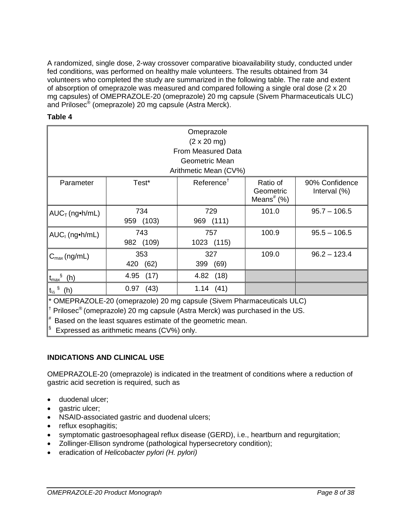A randomized, single dose, 2-way crossover comparative bioavailability study, conducted under fed conditions, was performed on healthy male volunteers. The results obtained from 34 volunteers who completed the study are summarized in the following table. The rate and extent of absorption of omeprazole was measured and compared following a single oral dose (2 x 20 mg capsules) of OMEPRAZOLE-20 (omeprazole) 20 mg capsule (Sivem Pharmaceuticals ULC) and Prilosec® (omeprazole) 20 mg capsule (Astra Merck).

| able |  |
|------|--|
|------|--|

| Omeprazole                                                                                                                                                                                                                                       |                    |                            |                                        |                                   |
|--------------------------------------------------------------------------------------------------------------------------------------------------------------------------------------------------------------------------------------------------|--------------------|----------------------------|----------------------------------------|-----------------------------------|
|                                                                                                                                                                                                                                                  |                    | $(2 \times 20 \text{ mg})$ |                                        |                                   |
|                                                                                                                                                                                                                                                  |                    | <b>From Measured Data</b>  |                                        |                                   |
|                                                                                                                                                                                                                                                  |                    | Geometric Mean             |                                        |                                   |
|                                                                                                                                                                                                                                                  |                    | Arithmetic Mean (CV%)      |                                        |                                   |
| Parameter                                                                                                                                                                                                                                        | Test*              | Reference <sup>†</sup>     | Ratio of<br>Geometric<br>Means $#$ (%) | 90% Confidence<br>Interval $(\%)$ |
| $AUC_T$ (ng•h/mL)                                                                                                                                                                                                                                | 734<br>959 (103)   | 729<br>969 (111)           | 101.0                                  | $95.7 - 106.5$                    |
| $AUC_1$ (ng•h/mL)                                                                                                                                                                                                                                | 743<br>982 (109)   | 757<br>1023 (115)          | 100.9                                  | $95.5 - 106.5$                    |
| $C_{\text{max}}$ (ng/mL)                                                                                                                                                                                                                         | 353<br>420<br>(62) | 327<br>(69)<br>399         | 109.0                                  | $96.2 - 123.4$                    |
| $t_{\text{max}}^{\S}$ (h)                                                                                                                                                                                                                        | 4.95 (17)          | 4.82 (18)                  |                                        |                                   |
| $t_{\frac{1}{2}}$ $(n)$                                                                                                                                                                                                                          | $0.97$ (43)        | 1.14(41)                   |                                        |                                   |
| * OMEPRAZOLE-20 (omeprazole) 20 mg capsule (Sivem Pharmaceuticals ULC)<br><sup>†</sup> Prilosec <sup>®</sup> (omeprazole) 20 mg capsule (Astra Merck) was purchased in the US.<br>$*$ Based on the least squares estimate of the geometric mean. |                    |                            |                                        |                                   |

<sup>§</sup> Expressed as arithmetic means (CV%) only.

# **INDICATIONS AND CLINICAL USE**

OMEPRAZOLE-20 (omeprazole) is indicated in the treatment of conditions where a reduction of gastric acid secretion is required, such as

- duodenal ulcer;
- gastric ulcer;
- NSAID-associated gastric and duodenal ulcers;
- reflux esophagitis;
- symptomatic gastroesophageal reflux disease (GERD), i.e., heartburn and regurgitation;
- Zollinger-Ellison syndrome (pathological hypersecretory condition);
- eradication of *Helicobacter pylori (H. pylori)*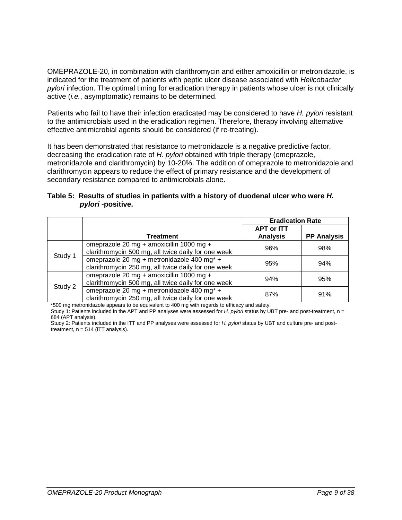OMEPRAZOLE-20, in combination with clarithromycin and either amoxicillin or metronidazole, is indicated for the treatment of patients with peptic ulcer disease associated with *Helicobacter pylori* infection. The optimal timing for eradication therapy in patients whose ulcer is not clinically active (*i.e.*, asymptomatic) remains to be determined.

Patients who fail to have their infection eradicated may be considered to have *H. pylori* resistant to the antimicrobials used in the eradication regimen. Therefore, therapy involving alternative effective antimicrobial agents should be considered (if re-treating).

It has been demonstrated that resistance to metronidazole is a negative predictive factor, decreasing the eradication rate of *H. pylori* obtained with triple therapy (omeprazole, metronidazole and clarithromycin) by 10-20%. The addition of omeprazole to metronidazole and clarithromycin appears to reduce the effect of primary resistance and the development of secondary resistance compared to antimicrobials alone.

| Table 5: Results of studies in patients with a history of duodenal ulcer who were H. |  |  |
|--------------------------------------------------------------------------------------|--|--|
| <i>pylori</i> -positive.                                                             |  |  |

|         |                                                                                                   | <b>Eradication Rate</b>              |                    |
|---------|---------------------------------------------------------------------------------------------------|--------------------------------------|--------------------|
|         | Treatment                                                                                         | <b>APT or ITT</b><br><b>Analysis</b> | <b>PP Analysis</b> |
|         | omeprazole 20 mg + amoxicillin 1000 mg +<br>clarithromycin 500 mg, all twice daily for one week   | 96%                                  | 98%                |
| Study 1 | omeprazole 20 mg + metronidazole 400 mg* +<br>clarithromycin 250 mg, all twice daily for one week | 95%                                  | 94%                |
| Study 2 | omeprazole 20 mg + amoxicillin 1000 mg +<br>clarithromycin 500 mg, all twice daily for one week   | 94%                                  | 95%                |
|         | omeprazole 20 mg + metronidazole 400 mg* +<br>clarithromycin 250 mg, all twice daily for one week | 87%                                  | 91%                |

\*500 mg metronidazole appears to be equivalent to 400 mg with regards to efficacy and safety.

Study 1: Patients included in the APT and PP analyses were assessed for *H. pylori* status by UBT pre- and post-treatment, n = 684 (APT analysis).

Study 2: Patients included in the ITT and PP analyses were assessed for *H. pylori* status by UBT and culture pre- and posttreatment,  $n = 514$  (ITT analysis).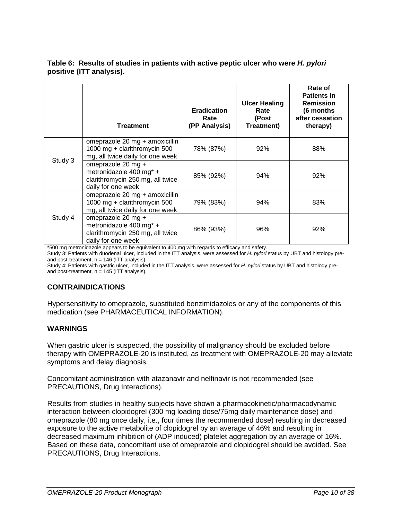### **Table 6: Results of studies in patients with active peptic ulcer who were** *H. pylori*  **positive (ITT analysis).**

|         | <b>Treatment</b>                                                                                        | <b>Eradication</b><br>Rate<br>(PP Analysis) | <b>Ulcer Healing</b><br>Rate<br>(Post<br>Treatment) | Rate of<br><b>Patients in</b><br><b>Remission</b><br>(6 months<br>after cessation<br>therapy) |
|---------|---------------------------------------------------------------------------------------------------------|---------------------------------------------|-----------------------------------------------------|-----------------------------------------------------------------------------------------------|
|         | omeprazole 20 mg + amoxicillin<br>1000 mg + clarithromycin 500<br>mg, all twice daily for one week      | 78% (87%)                                   | 92%                                                 | 88%                                                                                           |
| Study 3 | omeprazole 20 mg +<br>metronidazole 400 mg* +<br>clarithromycin 250 mg, all twice<br>daily for one week | 85% (92%)                                   | 94%                                                 | 92%                                                                                           |
|         | omeprazole 20 mg + amoxicillin<br>1000 mg + clarithromycin 500<br>mg, all twice daily for one week      | 79% (83%)                                   | 94%                                                 | 83%                                                                                           |
| Study 4 | omeprazole 20 mg +<br>metronidazole 400 mg* +<br>clarithromycin 250 mg, all twice<br>daily for one week | 86% (93%)                                   | 96%                                                 | 92%                                                                                           |

\*500 mg metronidazole appears to be equivalent to 400 mg with regards to efficacy and safety.

Study 3: Patients with duodenal ulcer, included in the ITT analysis, were assessed for *H. pylori* status by UBT and histology preand post-treatment,  $n = 146$  (ITT analysis).

Study 4: Patients with gastric ulcer, included in the ITT analysis, were assessed for *H. pylori* status by UBT and histology preand post-treatment,  $n = 145$  (ITT analysis).

### **CONTRAINDICATIONS**

Hypersensitivity to omeprazole, substituted benzimidazoles or any of the components of this medication (see PHARMACEUTICAL INFORMATION).

### **WARNINGS**

When gastric ulcer is suspected, the possibility of malignancy should be excluded before therapy with OMEPRAZOLE-20 is instituted, as treatment with OMEPRAZOLE-20 may alleviate symptoms and delay diagnosis.

Concomitant administration with atazanavir and nelfinavir is not recommended (see PRECAUTIONS, Drug Interactions).

Results from studies in healthy subjects have shown a pharmacokinetic/pharmacodynamic interaction between clopidogrel (300 mg loading dose/75mg daily maintenance dose) and omeprazole (80 mg once daily, i.e., four times the recommended dose) resulting in decreased exposure to the active metabolite of clopidogrel by an average of 46% and resulting in decreased maximum inhibition of (ADP induced) platelet aggregation by an average of 16%. Based on these data, concomitant use of omeprazole and clopidogrel should be avoided. See PRECAUTIONS, Drug Interactions.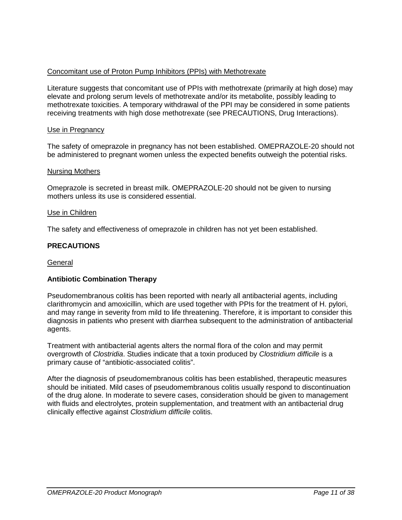# Concomitant use of Proton Pump Inhibitors (PPIs) with Methotrexate

Literature suggests that concomitant use of PPIs with methotrexate (primarily at high dose) may elevate and prolong serum levels of methotrexate and/or its metabolite, possibly leading to methotrexate toxicities. A temporary withdrawal of the PPI may be considered in some patients receiving treatments with high dose methotrexate (see PRECAUTIONS, Drug Interactions).

#### Use in Pregnancy

The safety of omeprazole in pregnancy has not been established. OMEPRAZOLE-20 should not be administered to pregnant women unless the expected benefits outweigh the potential risks.

#### Nursing Mothers

Omeprazole is secreted in breast milk. OMEPRAZOLE-20 should not be given to nursing mothers unless its use is considered essential.

#### Use in Children

The safety and effectiveness of omeprazole in children has not yet been established.

### **PRECAUTIONS**

#### General

### **Antibiotic Combination Therapy**

Pseudomembranous colitis has been reported with nearly all antibacterial agents, including clarithromycin and amoxicillin, which are used together with PPIs for the treatment of H. pylori, and may range in severity from mild to life threatening. Therefore, it is important to consider this diagnosis in patients who present with diarrhea subsequent to the administration of antibacterial agents.

Treatment with antibacterial agents alters the normal flora of the colon and may permit overgrowth of *Clostridia*. Studies indicate that a toxin produced by *Clostridium difficile* is a primary cause of "antibiotic-associated colitis".

After the diagnosis of pseudomembranous colitis has been established, therapeutic measures should be initiated. Mild cases of pseudomembranous colitis usually respond to discontinuation of the drug alone. In moderate to severe cases, consideration should be given to management with fluids and electrolytes, protein supplementation, and treatment with an antibacterial drug clinically effective against *Clostridium difficile* colitis.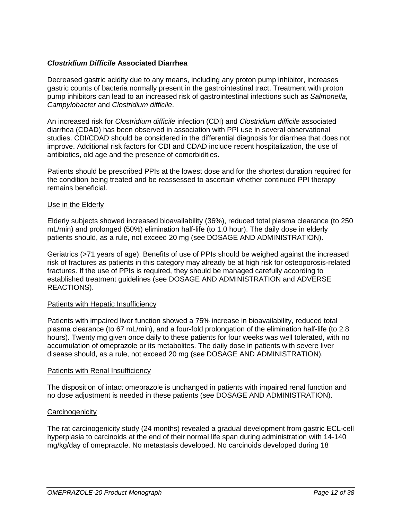# *Clostridium Difficile* **Associated Diarrhea**

Decreased gastric acidity due to any means, including any proton pump inhibitor, increases gastric counts of bacteria normally present in the gastrointestinal tract. Treatment with proton pump inhibitors can lead to an increased risk of gastrointestinal infections such as *Salmonella, Campylobacter* and *Clostridium difficile*.

An increased risk for *Clostridium difficile* infection (CDI) and *Clostridium difficile* associated diarrhea (CDAD) has been observed in association with PPI use in several observational studies. CDI/CDAD should be considered in the differential diagnosis for diarrhea that does not improve. Additional risk factors for CDI and CDAD include recent hospitalization, the use of antibiotics, old age and the presence of comorbidities.

Patients should be prescribed PPIs at the lowest dose and for the shortest duration required for the condition being treated and be reassessed to ascertain whether continued PPI therapy remains beneficial.

#### Use in the Elderly

Elderly subjects showed increased bioavailability (36%), reduced total plasma clearance (to 250 mL/min) and prolonged (50%) elimination half-life (to 1.0 hour). The daily dose in elderly patients should, as a rule, not exceed 20 mg (see DOSAGE AND ADMINISTRATION).

Geriatrics (>71 years of age): Benefits of use of PPIs should be weighed against the increased risk of fractures as patients in this category may already be at high risk for osteoporosis-related fractures. If the use of PPIs is required, they should be managed carefully according to established treatment guidelines (see DOSAGE AND ADMINISTRATION and ADVERSE REACTIONS).

#### Patients with Hepatic Insufficiency

Patients with impaired liver function showed a 75% increase in bioavailability, reduced total plasma clearance (to 67 mL/min), and a four-fold prolongation of the elimination half-life (to 2.8 hours). Twenty mg given once daily to these patients for four weeks was well tolerated, with no accumulation of omeprazole or its metabolites. The daily dose in patients with severe liver disease should, as a rule, not exceed 20 mg (see DOSAGE AND ADMINISTRATION).

#### Patients with Renal Insufficiency

The disposition of intact omeprazole is unchanged in patients with impaired renal function and no dose adjustment is needed in these patients (see DOSAGE AND ADMINISTRATION).

#### **Carcinogenicity**

The rat carcinogenicity study (24 months) revealed a gradual development from gastric ECL-cell hyperplasia to carcinoids at the end of their normal life span during administration with 14-140 mg/kg/day of omeprazole. No metastasis developed. No carcinoids developed during 18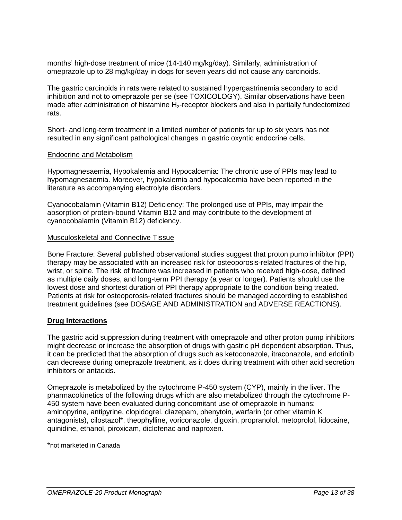months' high-dose treatment of mice (14-140 mg/kg/day). Similarly, administration of omeprazole up to 28 mg/kg/day in dogs for seven years did not cause any carcinoids.

The gastric carcinoids in rats were related to sustained hypergastrinemia secondary to acid inhibition and not to omeprazole per se (see TOXICOLOGY). Similar observations have been made after administration of histamine  $H_2$ -receptor blockers and also in partially fundectomized rats.

Short- and long-term treatment in a limited number of patients for up to six years has not resulted in any significant pathological changes in gastric oxyntic endocrine cells.

#### Endocrine and Metabolism

Hypomagnesaemia, Hypokalemia and Hypocalcemia: The chronic use of PPIs may lead to hypomagnesaemia. Moreover, hypokalemia and hypocalcemia have been reported in the literature as accompanying electrolyte disorders.

Cyanocobalamin (Vitamin B12) Deficiency: The prolonged use of PPIs, may impair the absorption of protein-bound Vitamin B12 and may contribute to the development of cyanocobalamin (Vitamin B12) deficiency.

#### Musculoskeletal and Connective Tissue

Bone Fracture: Several published observational studies suggest that proton pump inhibitor (PPI) therapy may be associated with an increased risk for osteoporosis-related fractures of the hip, wrist, or spine. The risk of fracture was increased in patients who received high-dose, defined as multiple daily doses, and long-term PPI therapy (a year or longer). Patients should use the lowest dose and shortest duration of PPI therapy appropriate to the condition being treated. Patients at risk for osteoporosis-related fractures should be managed according to established treatment guidelines (see DOSAGE AND ADMINISTRATION and ADVERSE REACTIONS).

#### **Drug Interactions**

The gastric acid suppression during treatment with omeprazole and other proton pump inhibitors might decrease or increase the absorption of drugs with gastric pH dependent absorption. Thus, it can be predicted that the absorption of drugs such as ketoconazole, itraconazole, and erlotinib can decrease during omeprazole treatment, as it does during treatment with other acid secretion inhibitors or antacids.

Omeprazole is metabolized by the cytochrome P-450 system (CYP), mainly in the liver. The pharmacokinetics of the following drugs which are also metabolized through the cytochrome P-450 system have been evaluated during concomitant use of omeprazole in humans: aminopyrine, antipyrine, clopidogrel, diazepam, phenytoin, warfarin (or other vitamin K antagonists), cilostazol\*, theophylline, voriconazole, digoxin, propranolol, metoprolol, lidocaine, quinidine, ethanol, piroxicam, diclofenac and naproxen.

\*not marketed in Canada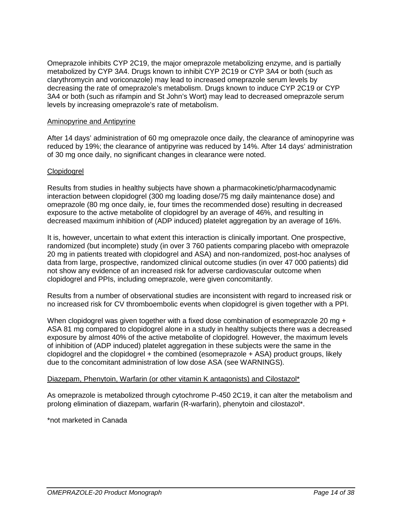Omeprazole inhibits CYP 2C19, the major omeprazole metabolizing enzyme, and is partially metabolized by CYP 3A4. Drugs known to inhibit CYP 2C19 or CYP 3A4 or both (such as clarythromycin and voriconazole) may lead to increased omeprazole serum levels by decreasing the rate of omeprazole's metabolism. Drugs known to induce CYP 2C19 or CYP 3A4 or both (such as rifampin and St John's Wort) may lead to decreased omeprazole serum levels by increasing omeprazole's rate of metabolism.

### Aminopyrine and Antipyrine

After 14 days' administration of 60 mg omeprazole once daily, the clearance of aminopyrine was reduced by 19%; the clearance of antipyrine was reduced by 14%. After 14 days' administration of 30 mg once daily, no significant changes in clearance were noted.

### Clopidogrel

Results from studies in healthy subjects have shown a pharmacokinetic/pharmacodynamic interaction between clopidogrel (300 mg loading dose/75 mg daily maintenance dose) and omeprazole (80 mg once daily, ie, four times the recommended dose) resulting in decreased exposure to the active metabolite of clopidogrel by an average of 46%, and resulting in decreased maximum inhibition of (ADP induced) platelet aggregation by an average of 16%.

It is, however, uncertain to what extent this interaction is clinically important. One prospective, randomized (but incomplete) study (in over 3 760 patients comparing placebo with omeprazole 20 mg in patients treated with clopidogrel and ASA) and non-randomized, post-hoc analyses of data from large, prospective, randomized clinical outcome studies (in over 47 000 patients) did not show any evidence of an increased risk for adverse cardiovascular outcome when clopidogrel and PPIs, including omeprazole, were given concomitantly.

Results from a number of observational studies are inconsistent with regard to increased risk or no increased risk for CV thromboembolic events when clopidogrel is given together with a PPI.

When clopidogrel was given together with a fixed dose combination of esomeprazole 20 mg + ASA 81 mg compared to clopidogrel alone in a study in healthy subjects there was a decreased exposure by almost 40% of the active metabolite of clopidogrel. However, the maximum levels of inhibition of (ADP induced) platelet aggregation in these subjects were the same in the clopidogrel and the clopidogrel + the combined (esomeprazole + ASA) product groups, likely due to the concomitant administration of low dose ASA (see WARNINGS).

### Diazepam, Phenytoin, Warfarin (or other vitamin K antagonists) and Cilostazol\*

As omeprazole is metabolized through cytochrome P-450 2C19, it can alter the metabolism and prolong elimination of diazepam, warfarin (R-warfarin), phenytoin and cilostazol\*.

\*not marketed in Canada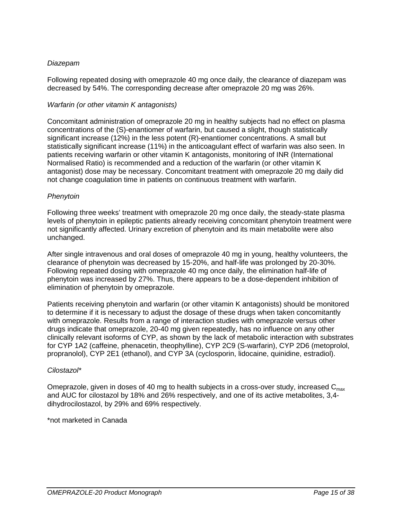# *Diazepam*

Following repeated dosing with omeprazole 40 mg once daily, the clearance of diazepam was decreased by 54%. The corresponding decrease after omeprazole 20 mg was 26%.

## *Warfarin (or other vitamin K antagonists)*

Concomitant administration of omeprazole 20 mg in healthy subjects had no effect on plasma concentrations of the (S)-enantiomer of warfarin, but caused a slight, though statistically significant increase (12%) in the less potent (R)-enantiomer concentrations. A small but statistically significant increase (11%) in the anticoagulant effect of warfarin was also seen. In patients receiving warfarin or other vitamin K antagonists, monitoring of INR (International Normalised Ratio) is recommended and a reduction of the warfarin (or other vitamin K antagonist) dose may be necessary. Concomitant treatment with omeprazole 20 mg daily did not change coagulation time in patients on continuous treatment with warfarin.

# *Phenytoin*

Following three weeks' treatment with omeprazole 20 mg once daily, the steady-state plasma levels of phenytoin in epileptic patients already receiving concomitant phenytoin treatment were not significantly affected. Urinary excretion of phenytoin and its main metabolite were also unchanged.

After single intravenous and oral doses of omeprazole 40 mg in young, healthy volunteers, the clearance of phenytoin was decreased by 15-20%, and half-life was prolonged by 20-30%. Following repeated dosing with omeprazole 40 mg once daily, the elimination half-life of phenytoin was increased by 27%. Thus, there appears to be a dose-dependent inhibition of elimination of phenytoin by omeprazole.

Patients receiving phenytoin and warfarin (or other vitamin K antagonists) should be monitored to determine if it is necessary to adjust the dosage of these drugs when taken concomitantly with omeprazole. Results from a range of interaction studies with omeprazole versus other drugs indicate that omeprazole, 20-40 mg given repeatedly, has no influence on any other clinically relevant isoforms of CYP, as shown by the lack of metabolic interaction with substrates for CYP 1A2 (caffeine, phenacetin, theophylline), CYP 2C9 (S-warfarin), CYP 2D6 (metoprolol, propranolol), CYP 2E1 (ethanol), and CYP 3A (cyclosporin, lidocaine, quinidine, estradiol).

### *Cilostazol\**

Omeprazole, given in doses of 40 mg to health subjects in a cross-over study, increased  $C_{\text{max}}$ and AUC for cilostazol by 18% and 26% respectively, and one of its active metabolites, 3,4 dihydrocilostazol, by 29% and 69% respectively.

\*not marketed in Canada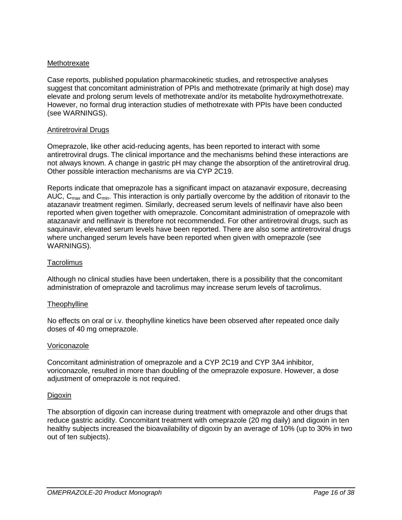## Methotrexate

Case reports, published population pharmacokinetic studies, and retrospective analyses suggest that concomitant administration of PPIs and methotrexate (primarily at high dose) may elevate and prolong serum levels of methotrexate and/or its metabolite hydroxymethotrexate. However, no formal drug interaction studies of methotrexate with PPIs have been conducted (see WARNINGS).

### Antiretroviral Drugs

Omeprazole, like other acid-reducing agents, has been reported to interact with some antiretroviral drugs. The clinical importance and the mechanisms behind these interactions are not always known. A change in gastric pH may change the absorption of the antiretroviral drug. Other possible interaction mechanisms are via CYP 2C19.

Reports indicate that omeprazole has a significant impact on atazanavir exposure, decreasing AUC,  $C_{\text{max}}$  and  $C_{\text{min}}$ . This interaction is only partially overcome by the addition of ritonavir to the atazanavir treatment regimen. Similarly, decreased serum levels of nelfinavir have also been reported when given together with omeprazole. Concomitant administration of omeprazole with atazanavir and nelfinavir is therefore not recommended. For other antiretroviral drugs, such as saquinavir, elevated serum levels have been reported. There are also some antiretroviral drugs where unchanged serum levels have been reported when given with omeprazole (see WARNINGS).

#### **Tacrolimus**

Although no clinical studies have been undertaken, there is a possibility that the concomitant administration of omeprazole and tacrolimus may increase serum levels of tacrolimus.

#### **Theophylline**

No effects on oral or i.v. theophylline kinetics have been observed after repeated once daily doses of 40 mg omeprazole.

#### Voriconazole

Concomitant administration of omeprazole and a CYP 2C19 and CYP 3A4 inhibitor, voriconazole, resulted in more than doubling of the omeprazole exposure. However, a dose adjustment of omeprazole is not required.

#### Digoxin

The absorption of digoxin can increase during treatment with omeprazole and other drugs that reduce gastric acidity. Concomitant treatment with omeprazole (20 mg daily) and digoxin in ten healthy subjects increased the bioavailability of digoxin by an average of 10% (up to 30% in two out of ten subjects).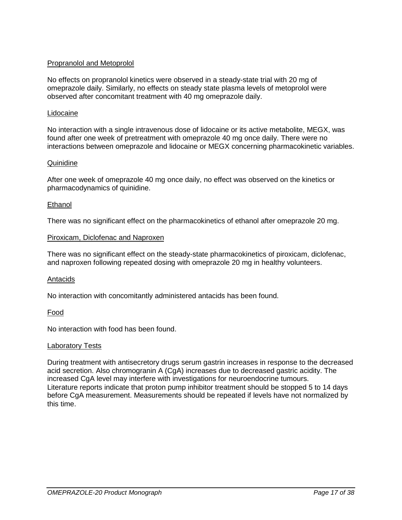## Propranolol and Metoprolol

No effects on propranolol kinetics were observed in a steady-state trial with 20 mg of omeprazole daily. Similarly, no effects on steady state plasma levels of metoprolol were observed after concomitant treatment with 40 mg omeprazole daily.

#### Lidocaine

No interaction with a single intravenous dose of lidocaine or its active metabolite, MEGX, was found after one week of pretreatment with omeprazole 40 mg once daily. There were no interactions between omeprazole and lidocaine or MEGX concerning pharmacokinetic variables.

#### **Quinidine**

After one week of omeprazole 40 mg once daily, no effect was observed on the kinetics or pharmacodynamics of quinidine.

#### **Ethanol**

There was no significant effect on the pharmacokinetics of ethanol after omeprazole 20 mg.

#### Piroxicam, Diclofenac and Naproxen

There was no significant effect on the steady-state pharmacokinetics of piroxicam, diclofenac, and naproxen following repeated dosing with omeprazole 20 mg in healthy volunteers.

#### Antacids

No interaction with concomitantly administered antacids has been found.

### Food

No interaction with food has been found.

#### Laboratory Tests

During treatment with antisecretory drugs serum gastrin increases in response to the decreased acid secretion. Also chromogranin A (CgA) increases due to decreased gastric acidity. The increased CgA level may interfere with investigations for neuroendocrine tumours. Literature reports indicate that proton pump inhibitor treatment should be stopped 5 to 14 days before CgA measurement. Measurements should be repeated if levels have not normalized by this time.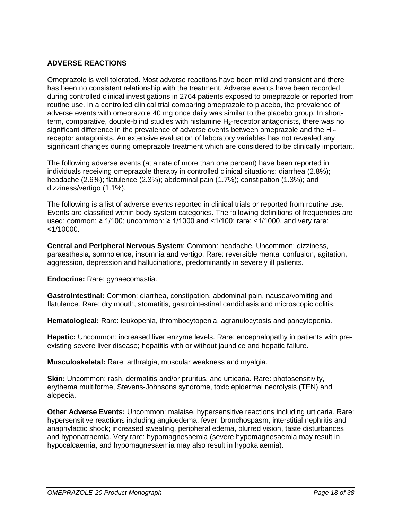# **ADVERSE REACTIONS**

Omeprazole is well tolerated. Most adverse reactions have been mild and transient and there has been no consistent relationship with the treatment. Adverse events have been recorded during controlled clinical investigations in 2764 patients exposed to omeprazole or reported from routine use. In a controlled clinical trial comparing omeprazole to placebo, the prevalence of adverse events with omeprazole 40 mg once daily was similar to the placebo group. In shortterm, comparative, double-blind studies with histamine  $H_2$ -receptor antagonists, there was no significant difference in the prevalence of adverse events between omeprazole and the  $H<sub>2</sub>$ receptor antagonists. An extensive evaluation of laboratory variables has not revealed any significant changes during omeprazole treatment which are considered to be clinically important.

The following adverse events (at a rate of more than one percent) have been reported in individuals receiving omeprazole therapy in controlled clinical situations: diarrhea (2.8%); headache (2.6%); flatulence (2.3%); abdominal pain (1.7%); constipation (1.3%); and dizziness/vertigo (1.1%).

The following is a list of adverse events reported in clinical trials or reported from routine use. Events are classified within body system categories. The following definitions of frequencies are used: common: ≥ 1/100; uncommon: ≥ 1/1000 and <1/100; rare: <1/1000, and very rare:  $<$ 1/10000.

**Central and Peripheral Nervous System**: Common: headache. Uncommon: dizziness, paraesthesia, somnolence, insomnia and vertigo. Rare: reversible mental confusion, agitation, aggression, depression and hallucinations, predominantly in severely ill patients.

**Endocrine:** Rare: gynaecomastia.

**Gastrointestinal:** Common: diarrhea, constipation, abdominal pain, nausea/vomiting and flatulence. Rare: dry mouth, stomatitis, gastrointestinal candidiasis and microscopic colitis.

**Hematological:** Rare: leukopenia, thrombocytopenia, agranulocytosis and pancytopenia.

**Hepatic:** Uncommon: increased liver enzyme levels. Rare: encephalopathy in patients with preexisting severe liver disease; hepatitis with or without jaundice and hepatic failure.

**Musculoskeletal:** Rare: arthralgia, muscular weakness and myalgia.

**Skin:** Uncommon: rash, dermatitis and/or pruritus, and urticaria. Rare: photosensitivity, erythema multiforme, Stevens-Johnsons syndrome, toxic epidermal necrolysis (TEN) and alopecia.

**Other Adverse Events:** Uncommon: malaise, hypersensitive reactions including urticaria. Rare: hypersensitive reactions including angioedema, fever, bronchospasm, interstitial nephritis and anaphylactic shock; increased sweating, peripheral edema, blurred vision, taste disturbances and hyponatraemia. Very rare: hypomagnesaemia (severe hypomagnesaemia may result in hypocalcaemia, and hypomagnesaemia may also result in hypokalaemia).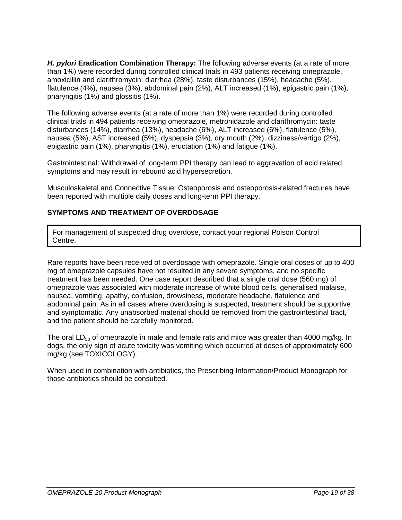**H. pylori Eradication Combination Therapy:** The following adverse events (at a rate of more than 1%) were recorded during controlled clinical trials in 493 patients receiving omeprazole, amoxicillin and clarithromycin: diarrhea (28%), taste disturbances (15%), headache (5%), flatulence (4%), nausea (3%), abdominal pain (2%), ALT increased (1%), epigastric pain (1%), pharyngitis (1%) and glossitis (1%).

The following adverse events (at a rate of more than 1%) were recorded during controlled clinical trials in 494 patients receiving omeprazole, metronidazole and clarithromycin: taste disturbances (14%), diarrhea (13%), headache (6%), ALT increased (6%), flatulence (5%), nausea (5%), AST increased (5%), dyspepsia (3%), dry mouth (2%), dizziness/vertigo (2%), epigastric pain (1%), pharyngitis (1%), eructation (1%) and fatigue (1%).

Gastrointestinal: Withdrawal of long-term PPI therapy can lead to aggravation of acid related symptoms and may result in rebound acid hypersecretion.

Musculoskeletal and Connective Tissue: Osteoporosis and osteoporosis-related fractures have been reported with multiple daily doses and long-term PPI therapy.

# **SYMPTOMS AND TREATMENT OF OVERDOSAGE**

For management of suspected drug overdose, contact your regional Poison Control Centre.

Rare reports have been received of overdosage with omeprazole. Single oral doses of up to 400 mg of omeprazole capsules have not resulted in any severe symptoms, and no specific treatment has been needed. One case report described that a single oral dose (560 mg) of omeprazole was associated with moderate increase of white blood cells, generalised malaise, nausea, vomiting, apathy, confusion, drowsiness, moderate headache, flatulence and abdominal pain. As in all cases where overdosing is suspected, treatment should be supportive and symptomatic. Any unabsorbed material should be removed from the gastrointestinal tract, and the patient should be carefully monitored.

The oral  $LD_{50}$  of omeprazole in male and female rats and mice was greater than 4000 mg/kg. In dogs, the only sign of acute toxicity was vomiting which occurred at doses of approximately 600 mg/kg (see TOXICOLOGY).

When used in combination with antibiotics, the Prescribing Information/Product Monograph for those antibiotics should be consulted.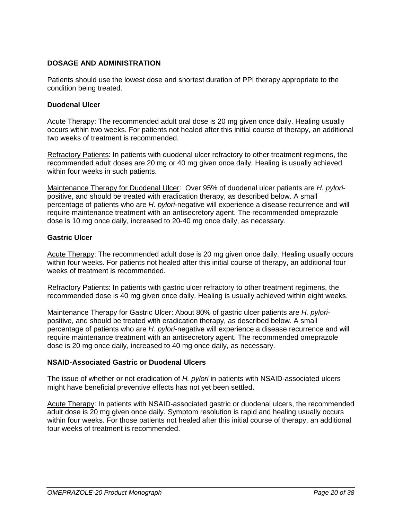# **DOSAGE AND ADMINISTRATION**

Patients should use the lowest dose and shortest duration of PPI therapy appropriate to the condition being treated.

#### **Duodenal Ulcer**

Acute Therapy: The recommended adult oral dose is 20 mg given once daily. Healing usually occurs within two weeks. For patients not healed after this initial course of therapy, an additional two weeks of treatment is recommended.

Refractory Patients: In patients with duodenal ulcer refractory to other treatment regimens, the recommended adult doses are 20 mg or 40 mg given once daily. Healing is usually achieved within four weeks in such patients.

Maintenance Therapy for Duodenal Ulcer: Over 95% of duodenal ulcer patients are *H. pylori*positive, and should be treated with eradication therapy, as described below. A small percentage of patients who are *H. pylori*-negative will experience a disease recurrence and will require maintenance treatment with an antisecretory agent. The recommended omeprazole dose is 10 mg once daily, increased to 20-40 mg once daily, as necessary.

#### **Gastric Ulcer**

Acute Therapy: The recommended adult dose is 20 mg given once daily. Healing usually occurs within four weeks. For patients not healed after this initial course of therapy, an additional four weeks of treatment is recommended.

Refractory Patients: In patients with gastric ulcer refractory to other treatment regimens, the recommended dose is 40 mg given once daily. Healing is usually achieved within eight weeks.

Maintenance Therapy for Gastric Ulcer: About 80% of gastric ulcer patients are *H. pylori*positive, and should be treated with eradication therapy, as described below. A small percentage of patients who are *H. pylori*-negative will experience a disease recurrence and will require maintenance treatment with an antisecretory agent. The recommended omeprazole dose is 20 mg once daily, increased to 40 mg once daily, as necessary.

### **NSAID-Associated Gastric or Duodenal Ulcers**

The issue of whether or not eradication of *H. pylori* in patients with NSAID-associated ulcers might have beneficial preventive effects has not yet been settled.

Acute Therapy: In patients with NSAID-associated gastric or duodenal ulcers, the recommended adult dose is 20 mg given once daily. Symptom resolution is rapid and healing usually occurs within four weeks. For those patients not healed after this initial course of therapy, an additional four weeks of treatment is recommended.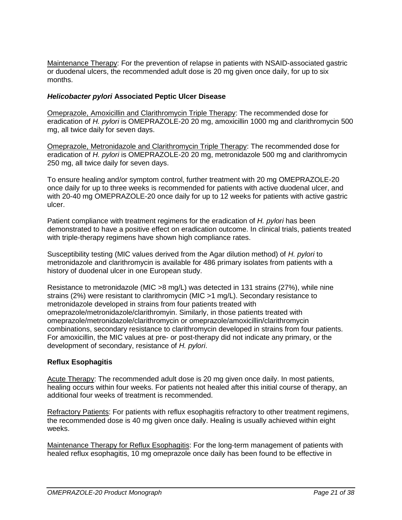Maintenance Therapy: For the prevention of relapse in patients with NSAID-associated gastric or duodenal ulcers, the recommended adult dose is 20 mg given once daily, for up to six months.

## *Helicobacter pylori* **Associated Peptic Ulcer Disease**

Omeprazole, Amoxicillin and Clarithromycin Triple Therapy: The recommended dose for eradication of *H. pylori* is OMEPRAZOLE-20 20 mg, amoxicillin 1000 mg and clarithromycin 500 mg, all twice daily for seven days.

Omeprazole, Metronidazole and Clarithromycin Triple Therapy: The recommended dose for eradication of *H. pylori* is OMEPRAZOLE-20 20 mg, metronidazole 500 mg and clarithromycin 250 mg, all twice daily for seven days.

To ensure healing and/or symptom control, further treatment with 20 mg OMEPRAZOLE-20 once daily for up to three weeks is recommended for patients with active duodenal ulcer, and with 20-40 mg OMEPRAZOLE-20 once daily for up to 12 weeks for patients with active gastric ulcer.

Patient compliance with treatment regimens for the eradication of *H. pylori* has been demonstrated to have a positive effect on eradication outcome. In clinical trials, patients treated with triple-therapy regimens have shown high compliance rates.

Susceptibility testing (MIC values derived from the Agar dilution method) of *H. pylori* to metronidazole and clarithromycin is available for 486 primary isolates from patients with a history of duodenal ulcer in one European study.

Resistance to metronidazole (MIC >8 mg/L) was detected in 131 strains (27%), while nine strains (2%) were resistant to clarithromycin (MIC >1 mg/L). Secondary resistance to metronidazole developed in strains from four patients treated with omeprazole/metronidazole/clarithromyin. Similarly, in those patients treated with omeprazole/metronidazole/clarithromycin or omeprazole/amoxicillin/clarithromycin combinations, secondary resistance to clarithromycin developed in strains from four patients. For amoxicillin, the MIC values at pre- or post-therapy did not indicate any primary, or the development of secondary, resistance of *H. pylori*.

### **Reflux Esophagitis**

Acute Therapy: The recommended adult dose is 20 mg given once daily. In most patients, healing occurs within four weeks. For patients not healed after this initial course of therapy, an additional four weeks of treatment is recommended.

Refractory Patients: For patients with reflux esophagitis refractory to other treatment regimens. the recommended dose is 40 mg given once daily. Healing is usually achieved within eight weeks.

Maintenance Therapy for Reflux Esophagitis: For the long-term management of patients with healed reflux esophagitis, 10 mg omeprazole once daily has been found to be effective in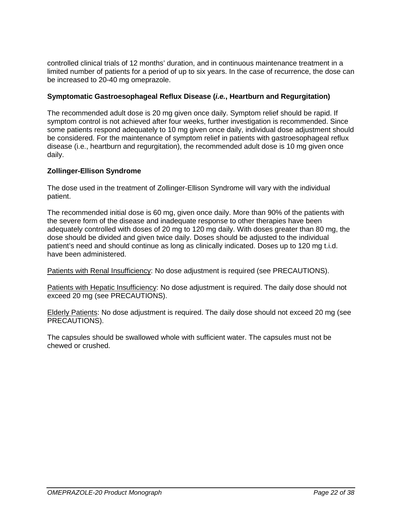controlled clinical trials of 12 months' duration, and in continuous maintenance treatment in a limited number of patients for a period of up to six years. In the case of recurrence, the dose can be increased to 20-40 mg omeprazole.

### **Symptomatic Gastroesophageal Reflux Disease (***i.e.***, Heartburn and Regurgitation)**

The recommended adult dose is 20 mg given once daily. Symptom relief should be rapid. If symptom control is not achieved after four weeks, further investigation is recommended. Since some patients respond adequately to 10 mg given once daily, individual dose adjustment should be considered. For the maintenance of symptom relief in patients with gastroesophageal reflux disease (i.e., heartburn and regurgitation), the recommended adult dose is 10 mg given once daily.

### **Zollinger-Ellison Syndrome**

The dose used in the treatment of Zollinger-Ellison Syndrome will vary with the individual patient.

The recommended initial dose is 60 mg, given once daily. More than 90% of the patients with the severe form of the disease and inadequate response to other therapies have been adequately controlled with doses of 20 mg to 120 mg daily. With doses greater than 80 mg, the dose should be divided and given twice daily. Doses should be adjusted to the individual patient's need and should continue as long as clinically indicated. Doses up to 120 mg t.i.d. have been administered.

Patients with Renal Insufficiency: No dose adjustment is required (see PRECAUTIONS).

Patients with Hepatic Insufficiency: No dose adjustment is required. The daily dose should not exceed 20 mg (see PRECAUTIONS).

Elderly Patients: No dose adjustment is required. The daily dose should not exceed 20 mg (see PRECAUTIONS).

The capsules should be swallowed whole with sufficient water. The capsules must not be chewed or crushed.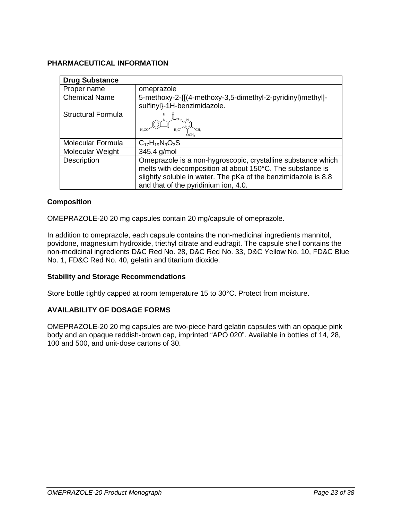# **PHARMACEUTICAL INFORMATION**

| <b>Drug Substance</b>     |                                                                                                                                                                                                                                     |
|---------------------------|-------------------------------------------------------------------------------------------------------------------------------------------------------------------------------------------------------------------------------------|
| Proper name               | omeprazole                                                                                                                                                                                                                          |
| <b>Chemical Name</b>      | 5-methoxy-2-{[(4-methoxy-3,5-dimethyl-2-pyridinyl)methyl]-                                                                                                                                                                          |
|                           | sulfinyl}-1H-benzimidazole.                                                                                                                                                                                                         |
| <b>Structural Formula</b> | $-CH2$<br>H <sub>2</sub> Cl<br>H <sub>2</sub> C                                                                                                                                                                                     |
| Molecular Formula         | $C_{17}H_{19}N_3O_3S$                                                                                                                                                                                                               |
| Molecular Weight          | 345.4 g/mol                                                                                                                                                                                                                         |
| Description               | Omeprazole is a non-hygroscopic, crystalline substance which<br>melts with decomposition at about 150°C. The substance is<br>slightly soluble in water. The pKa of the benzimidazole is 8.8<br>and that of the pyridinium ion, 4.0. |

# **Composition**

OMEPRAZOLE-20 20 mg capsules contain 20 mg/capsule of omeprazole.

In addition to omeprazole, each capsule contains the non-medicinal ingredients mannitol, povidone, magnesium hydroxide, triethyl citrate and eudragit. The capsule shell contains the non-medicinal ingredients D&C Red No. 28, D&C Red No. 33, D&C Yellow No. 10, FD&C Blue No. 1, FD&C Red No. 40, gelatin and titanium dioxide.

### **Stability and Storage Recommendations**

Store bottle tightly capped at room temperature 15 to 30°C. Protect from moisture.

### **AVAILABILITY OF DOSAGE FORMS**

OMEPRAZOLE-20 20 mg capsules are two-piece hard gelatin capsules with an opaque pink body and an opaque reddish-brown cap, imprinted "APO 020". Available in bottles of 14, 28, 100 and 500, and unit-dose cartons of 30.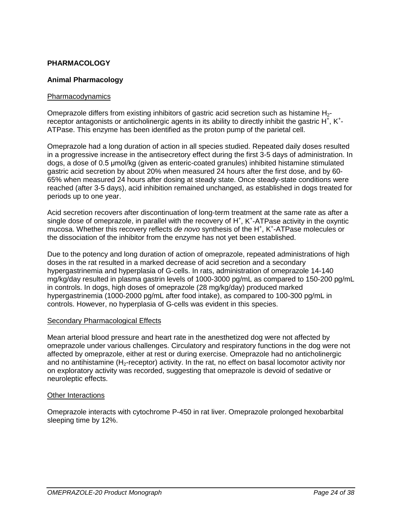# **PHARMACOLOGY**

#### **Animal Pharmacology**

#### Pharmacodynamics

Omeprazole differs from existing inhibitors of gastric acid secretion such as histamine  $H_{2}$ receptor antagonists or anticholinergic agents in its ability to directly inhibit the gastric H<sup>+</sup>, K<sup>+</sup>-ATPase. This enzyme has been identified as the proton pump of the parietal cell.

Omeprazole had a long duration of action in all species studied. Repeated daily doses resulted in a progressive increase in the antisecretory effect during the first 3-5 days of administration. In dogs, a dose of 0.5 μmol/kg (given as enteric-coated granules) inhibited histamine stimulated gastric acid secretion by about 20% when measured 24 hours after the first dose, and by 60- 65% when measured 24 hours after dosing at steady state. Once steady-state conditions were reached (after 3-5 days), acid inhibition remained unchanged, as established in dogs treated for periods up to one year.

Acid secretion recovers after discontinuation of long-term treatment at the same rate as after a single dose of omeprazole, in parallel with the recovery of H<sup>+</sup>, K<sup>+</sup>-ATPase activity in the oxyntic mucosa. Whether this recovery reflects de novo synthesis of the H<sup>+</sup>, K<sup>+</sup>-ATPase molecules or the dissociation of the inhibitor from the enzyme has not yet been established.

Due to the potency and long duration of action of omeprazole, repeated administrations of high doses in the rat resulted in a marked decrease of acid secretion and a secondary hypergastrinemia and hyperplasia of G-cells. In rats, administration of omeprazole 14-140 mg/kg/day resulted in plasma gastrin levels of 1000-3000 pg/mL as compared to 150-200 pg/mL in controls. In dogs, high doses of omeprazole (28 mg/kg/day) produced marked hypergastrinemia (1000-2000 pg/mL after food intake), as compared to 100-300 pg/mL in controls. However, no hyperplasia of G-cells was evident in this species.

#### Secondary Pharmacological Effects

Mean arterial blood pressure and heart rate in the anesthetized dog were not affected by omeprazole under various challenges. Circulatory and respiratory functions in the dog were not affected by omeprazole, either at rest or during exercise. Omeprazole had no anticholinergic and no antihistamine (H<sub>2</sub>-receptor) activity. In the rat, no effect on basal locomotor activity nor on exploratory activity was recorded, suggesting that omeprazole is devoid of sedative or neuroleptic effects.

#### Other Interactions

Omeprazole interacts with cytochrome P-450 in rat liver. Omeprazole prolonged hexobarbital sleeping time by 12%.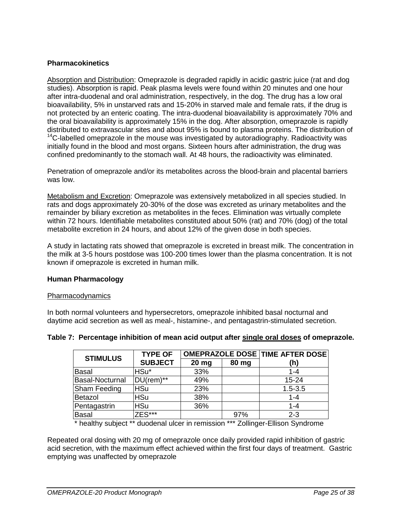# **Pharmacokinetics**

Absorption and Distribution: Omeprazole is degraded rapidly in acidic gastric juice (rat and dog studies). Absorption is rapid. Peak plasma levels were found within 20 minutes and one hour after intra-duodenal and oral administration, respectively, in the dog. The drug has a low oral bioavailability, 5% in unstarved rats and 15-20% in starved male and female rats, if the drug is not protected by an enteric coating. The intra-duodenal bioavailability is approximately 70% and the oral bioavailability is approximately 15% in the dog. After absorption, omeprazole is rapidly distributed to extravascular sites and about 95% is bound to plasma proteins. The distribution of  $14$ C-labelled omeprazole in the mouse was investigated by autoradiography. Radioactivity was initially found in the blood and most organs. Sixteen hours after administration, the drug was confined predominantly to the stomach wall. At 48 hours, the radioactivity was eliminated.

Penetration of omeprazole and/or its metabolites across the blood-brain and placental barriers was low.

Metabolism and Excretion: Omeprazole was extensively metabolized in all species studied. In rats and dogs approximately 20-30% of the dose was excreted as urinary metabolites and the remainder by biliary excretion as metabolites in the feces. Elimination was virtually complete within 72 hours. Identifiable metabolites constituted about 50% (rat) and 70% (dog) of the total metabolite excretion in 24 hours, and about 12% of the given dose in both species.

A study in lactating rats showed that omeprazole is excreted in breast milk. The concentration in the milk at 3-5 hours postdose was 100-200 times lower than the plasma concentration. It is not known if omeprazole is excreted in human milk.

### **Human Pharmacology**

#### Pharmacodynamics

In both normal volunteers and hypersecretors, omeprazole inhibited basal nocturnal and daytime acid secretion as well as meal-, histamine-, and pentagastrin-stimulated secretion.

| <b>STIMULUS</b>     | <b>TYPE OF</b> |         |       | <b>OMEPRAZOLE DOSE TIME AFTER DOSE</b> |
|---------------------|----------------|---------|-------|----------------------------------------|
|                     | <b>SUBJECT</b> | $20$ mg | 80 mg | (h)                                    |
| <b>Basal</b>        | HSu*           | 33%     |       | $1 - 4$                                |
| Basal-Nocturnal     | $DU$ (rem)**   | 49%     |       | $15 - 24$                              |
| <b>Sham Feeding</b> | <b>HSu</b>     | 23%     |       | $1.5 - 3.5$                            |
| Betazol             | <b>HSu</b>     | 38%     |       | $1 - 4$                                |
| Pentagastrin        | <b>HSu</b>     | 36%     |       | $1 - 4$                                |
| <b>Basal</b>        | $7ES***$       |         | 97%   | $2 - 3$                                |

### **Table 7: Percentage inhibition of mean acid output after single oral doses of omeprazole.**

\* healthy subject \*\* duodenal ulcer in remission \*\*\* Zollinger-Ellison Syndrome

Repeated oral dosing with 20 mg of omeprazole once daily provided rapid inhibition of gastric acid secretion, with the maximum effect achieved within the first four days of treatment. Gastric emptying was unaffected by omeprazole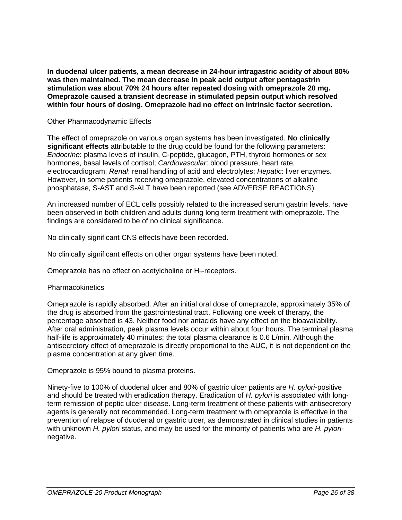**In duodenal ulcer patients, a mean decrease in 24-hour intragastric acidity of about 80% was then maintained. The mean decrease in peak acid output after pentagastrin stimulation was about 70% 24 hours after repeated dosing with omeprazole 20 mg. Omeprazole caused a transient decrease in stimulated pepsin output which resolved within four hours of dosing. Omeprazole had no effect on intrinsic factor secretion.**

#### Other Pharmacodynamic Effects

The effect of omeprazole on various organ systems has been investigated. **No clinically significant effects** attributable to the drug could be found for the following parameters: *Endocrine*: plasma levels of insulin, C-peptide, glucagon, PTH, thyroid hormones or sex hormones, basal levels of cortisol; *Cardiovascular*: blood pressure, heart rate, electrocardiogram; *Renal*: renal handling of acid and electrolytes; *Hepatic*: liver enzymes. However, in some patients receiving omeprazole, elevated concentrations of alkaline phosphatase, S-AST and S-ALT have been reported (see ADVERSE REACTIONS).

An increased number of ECL cells possibly related to the increased serum gastrin levels, have been observed in both children and adults during long term treatment with omeprazole. The findings are considered to be of no clinical significance.

No clinically significant CNS effects have been recorded.

No clinically significant effects on other organ systems have been noted.

Omeprazole has no effect on acetylcholine or  $H_2$ -receptors.

#### **Pharmacokinetics**

Omeprazole is rapidly absorbed. After an initial oral dose of omeprazole, approximately 35% of the drug is absorbed from the gastrointestinal tract. Following one week of therapy, the percentage absorbed is 43. Neither food nor antacids have any effect on the bioavailability. After oral administration, peak plasma levels occur within about four hours. The terminal plasma half-life is approximately 40 minutes; the total plasma clearance is 0.6 L/min. Although the antisecretory effect of omeprazole is directly proportional to the AUC, it is not dependent on the plasma concentration at any given time.

Omeprazole is 95% bound to plasma proteins.

Ninety-five to 100% of duodenal ulcer and 80% of gastric ulcer patients are *H. pylori*-positive and should be treated with eradication therapy. Eradication of *H. pylori* is associated with longterm remission of peptic ulcer disease. Long-term treatment of these patients with antisecretory agents is generally not recommended. Long-term treatment with omeprazole is effective in the prevention of relapse of duodenal or gastric ulcer, as demonstrated in clinical studies in patients with unknown *H. pylori* status, and may be used for the minority of patients who are *H. pylori*negative.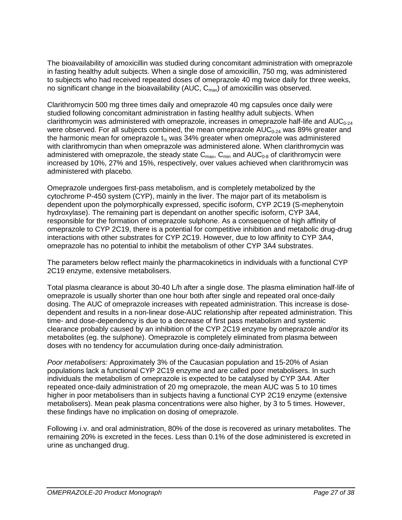The bioavailability of amoxicillin was studied during concomitant administration with omeprazole in fasting healthy adult subjects. When a single dose of amoxicillin, 750 mg, was administered to subjects who had received repeated doses of omeprazole 40 mg twice daily for three weeks, no significant change in the bioavailability (AUC,  $C_{\text{max}}$ ) of amoxicillin was observed.

Clarithromycin 500 mg three times daily and omeprazole 40 mg capsules once daily were studied following concomitant administration in fasting healthy adult subjects. When clarithromycin was administered with omeprazole, increases in omeprazole half-life and  $AUC_{0.24}$ were observed. For all subjects combined, the mean omeprazole  $AUC_{0.24}$  was 89% greater and the harmonic mean for omeprazole  $t_{\%}$  was 34% greater when omeprazole was administered with clarithromycin than when omeprazole was administered alone. When clarithromycin was administered with omeprazole, the steady state  $C_{max}$ ,  $C_{min}$  and  $AUC_{0.8}$  of clarithromycin were increased by 10%, 27% and 15%, respectively, over values achieved when clarithromycin was administered with placebo.

Omeprazole undergoes first-pass metabolism, and is completely metabolized by the cytochrome P-450 system (CYP), mainly in the liver. The major part of its metabolism is dependent upon the polymorphically expressed, specific isoform, CYP 2C19 (S-mephenytoin hydroxylase). The remaining part is dependant on another specific isoform, CYP 3A4, responsible for the formation of omeprazole sulphone. As a consequence of high affinity of omeprazole to CYP 2C19, there is a potential for competitive inhibition and metabolic drug-drug interactions with other substrates for CYP 2C19. However, due to low affinity to CYP 3A4, omeprazole has no potential to inhibit the metabolism of other CYP 3A4 substrates.

The parameters below reflect mainly the pharmacokinetics in individuals with a functional CYP 2C19 enzyme, extensive metabolisers.

Total plasma clearance is about 30-40 L/h after a single dose. The plasma elimination half-life of omeprazole is usually shorter than one hour both after single and repeated oral once-daily dosing. The AUC of omeprazole increases with repeated administration. This increase is dosedependent and results in a non-linear dose-AUC relationship after repeated administration. This time- and dose-dependency is due to a decrease of first pass metabolism and systemic clearance probably caused by an inhibition of the CYP 2C19 enzyme by omeprazole and/or its metabolites (eg. the sulphone). Omeprazole is completely eliminated from plasma between doses with no tendency for accumulation during once-daily administration.

*Poor metabolisers:* Approximately 3% of the Caucasian population and 15-20% of Asian populations lack a functional CYP 2C19 enzyme and are called poor metabolisers. In such individuals the metabolism of omeprazole is expected to be catalysed by CYP 3A4. After repeated once-daily administration of 20 mg omeprazole, the mean AUC was 5 to 10 times higher in poor metabolisers than in subjects having a functional CYP 2C19 enzyme (extensive metabolisers). Mean peak plasma concentrations were also higher, by 3 to 5 times. However, these findings have no implication on dosing of omeprazole.

Following i.v. and oral administration, 80% of the dose is recovered as urinary metabolites. The remaining 20% is excreted in the feces. Less than 0.1% of the dose administered is excreted in urine as unchanged drug.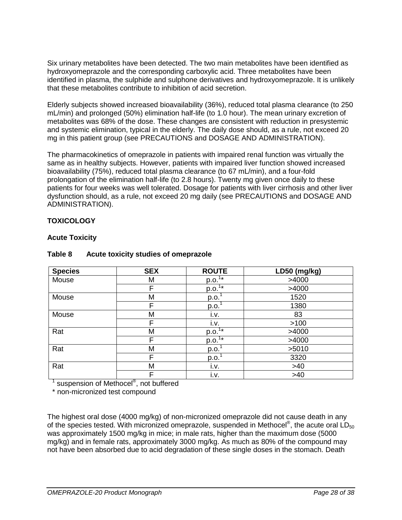Six urinary metabolites have been detected. The two main metabolites have been identified as hydroxyomeprazole and the corresponding carboxylic acid. Three metabolites have been identified in plasma, the sulphide and sulphone derivatives and hydroxyomeprazole. It is unlikely that these metabolites contribute to inhibition of acid secretion.

Elderly subjects showed increased bioavailability (36%), reduced total plasma clearance (to 250 mL/min) and prolonged (50%) elimination half-life (to 1.0 hour). The mean urinary excretion of metabolites was 68% of the dose. These changes are consistent with reduction in presystemic and systemic elimination, typical in the elderly. The daily dose should, as a rule, not exceed 20 mg in this patient group (see PRECAUTIONS and DOSAGE AND ADMINISTRATION).

The pharmacokinetics of omeprazole in patients with impaired renal function was virtually the same as in healthy subjects. However, patients with impaired liver function showed increased bioavailability (75%), reduced total plasma clearance (to 67 mL/min), and a four-fold prolongation of the elimination half-life (to 2.8 hours). Twenty mg given once daily to these patients for four weeks was well tolerated. Dosage for patients with liver cirrhosis and other liver dysfunction should, as a rule, not exceed 20 mg daily (see PRECAUTIONS and DOSAGE AND ADMINISTRATION).

# **TOXICOLOGY**

### **Acute Toxicity**

| <b>Species</b> | <b>SEX</b> | <b>ROUTE</b>      | LD50 (mg/kg) |
|----------------|------------|-------------------|--------------|
| Mouse          | M          | $p.o.^{1*}$       | >4000        |
|                | F          | $p.o.1*$          | >4000        |
| Mouse          | M          | p.o.              | 1520         |
|                |            | p.o.              | 1380         |
| Mouse          | M          | i.v.              | 83           |
|                | F          | i.v.              | >100         |
| Rat            | M          | $p.o.1*$          | >4000        |
|                | F          | $p.o.1*$          | >4000        |
| Rat            | M          | p.o. <sup>1</sup> | >5010        |
|                |            | p.o.              | 3320         |
| Rat            | M          | i.v.              | >40          |
|                | F          | i.v.              | >40          |

# **Table 8 Acute toxicity studies of omeprazole**

<sup>1</sup> suspension of Methocel<sup>®</sup>, not buffered

\* non-micronized test compound

The highest oral dose (4000 mg/kg) of non-micronized omeprazole did not cause death in any of the species tested. With micronized omeprazole, suspended in Methocel<sup>®</sup>, the acute oral LD<sub>50</sub> was approximately 1500 mg/kg in mice; in male rats, higher than the maximum dose (5000 mg/kg) and in female rats, approximately 3000 mg/kg. As much as 80% of the compound may not have been absorbed due to acid degradation of these single doses in the stomach. Death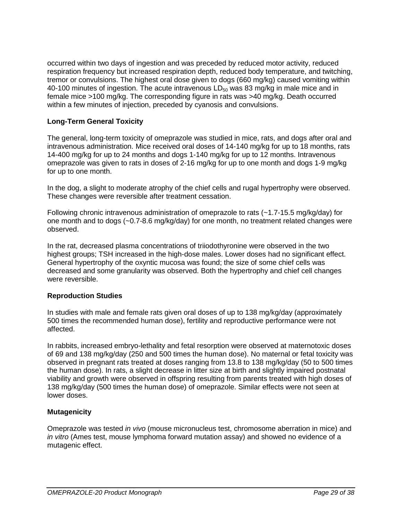occurred within two days of ingestion and was preceded by reduced motor activity, reduced respiration frequency but increased respiration depth, reduced body temperature, and twitching, tremor or convulsions. The highest oral dose given to dogs (660 mg/kg) caused vomiting within 40-100 minutes of ingestion. The acute intravenous  $LD_{50}$  was 83 mg/kg in male mice and in female mice >100 mg/kg. The corresponding figure in rats was >40 mg/kg. Death occurred within a few minutes of injection, preceded by cyanosis and convulsions.

# **Long-Term General Toxicity**

The general, long-term toxicity of omeprazole was studied in mice, rats, and dogs after oral and intravenous administration. Mice received oral doses of 14-140 mg/kg for up to 18 months, rats 14-400 mg/kg for up to 24 months and dogs 1-140 mg/kg for up to 12 months. Intravenous omeprazole was given to rats in doses of 2-16 mg/kg for up to one month and dogs 1-9 mg/kg for up to one month.

In the dog, a slight to moderate atrophy of the chief cells and rugal hypertrophy were observed. These changes were reversible after treatment cessation.

Following chronic intravenous administration of omeprazole to rats (~1.7-15.5 mg/kg/day) for one month and to dogs (~0.7-8.6 mg/kg/day) for one month, no treatment related changes were observed.

In the rat, decreased plasma concentrations of triiodothyronine were observed in the two highest groups; TSH increased in the high-dose males. Lower doses had no significant effect. General hypertrophy of the oxyntic mucosa was found; the size of some chief cells was decreased and some granularity was observed. Both the hypertrophy and chief cell changes were reversible.

### **Reproduction Studies**

In studies with male and female rats given oral doses of up to 138 mg/kg/day (approximately 500 times the recommended human dose), fertility and reproductive performance were not affected.

In rabbits, increased embryo-lethality and fetal resorption were observed at maternotoxic doses of 69 and 138 mg/kg/day (250 and 500 times the human dose). No maternal or fetal toxicity was observed in pregnant rats treated at doses ranging from 13.8 to 138 mg/kg/day (50 to 500 times the human dose). In rats, a slight decrease in litter size at birth and slightly impaired postnatal viability and growth were observed in offspring resulting from parents treated with high doses of 138 mg/kg/day (500 times the human dose) of omeprazole. Similar effects were not seen at lower doses.

### **Mutagenicity**

Omeprazole was tested *in vivo* (mouse micronucleus test, chromosome aberration in mice) and *in vitro* (Ames test, mouse lymphoma forward mutation assay) and showed no evidence of a mutagenic effect.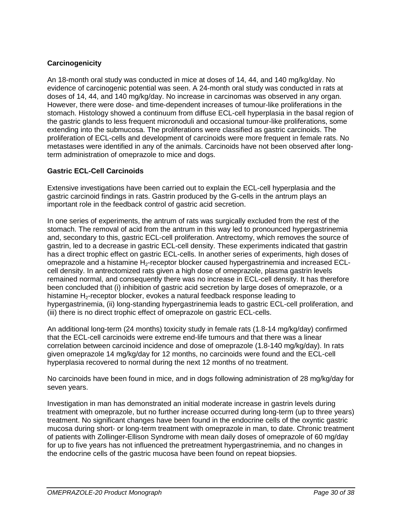# **Carcinogenicity**

An 18-month oral study was conducted in mice at doses of 14, 44, and 140 mg/kg/day. No evidence of carcinogenic potential was seen. A 24-month oral study was conducted in rats at doses of 14, 44, and 140 mg/kg/day. No increase in carcinomas was observed in any organ. However, there were dose- and time-dependent increases of tumour-like proliferations in the stomach. Histology showed a continuum from diffuse ECL-cell hyperplasia in the basal region of the gastric glands to less frequent micronoduli and occasional tumour-like proliferations, some extending into the submucosa. The proliferations were classified as gastric carcinoids. The proliferation of ECL-cells and development of carcinoids were more frequent in female rats. No metastases were identified in any of the animals. Carcinoids have not been observed after longterm administration of omeprazole to mice and dogs.

# **Gastric ECL-Cell Carcinoids**

Extensive investigations have been carried out to explain the ECL-cell hyperplasia and the gastric carcinoid findings in rats. Gastrin produced by the G-cells in the antrum plays an important role in the feedback control of gastric acid secretion.

In one series of experiments, the antrum of rats was surgically excluded from the rest of the stomach. The removal of acid from the antrum in this way led to pronounced hypergastrinemia and, secondary to this, gastric ECL-cell proliferation. Antrectomy, which removes the source of gastrin, led to a decrease in gastric ECL-cell density. These experiments indicated that gastrin has a direct trophic effect on gastric ECL-cells. In another series of experiments, high doses of omeprazole and a histamine  $H_2$ -receptor blocker caused hypergastrinemia and increased ECLcell density. In antrectomized rats given a high dose of omeprazole, plasma gastrin levels remained normal, and consequently there was no increase in ECL-cell density. It has therefore been concluded that (i) inhibition of gastric acid secretion by large doses of omeprazole, or a histamine H<sub>2</sub>-receptor blocker, evokes a natural feedback response leading to hypergastrinemia, (ii) long-standing hypergastrinemia leads to gastric ECL-cell proliferation, and (iii) there is no direct trophic effect of omeprazole on gastric ECL-cells.

An additional long-term (24 months) toxicity study in female rats (1.8-14 mg/kg/day) confirmed that the ECL-cell carcinoids were extreme end-life tumours and that there was a linear correlation between carcinoid incidence and dose of omeprazole (1.8-140 mg/kg/day). In rats given omeprazole 14 mg/kg/day for 12 months, no carcinoids were found and the ECL-cell hyperplasia recovered to normal during the next 12 months of no treatment.

No carcinoids have been found in mice, and in dogs following administration of 28 mg/kg/day for seven years.

Investigation in man has demonstrated an initial moderate increase in gastrin levels during treatment with omeprazole, but no further increase occurred during long-term (up to three years) treatment. No significant changes have been found in the endocrine cells of the oxyntic gastric mucosa during short- or long-term treatment with omeprazole in man, to date. Chronic treatment of patients with Zollinger-Ellison Syndrome with mean daily doses of omeprazole of 60 mg/day for up to five years has not influenced the pretreatment hypergastrinemia, and no changes in the endocrine cells of the gastric mucosa have been found on repeat biopsies.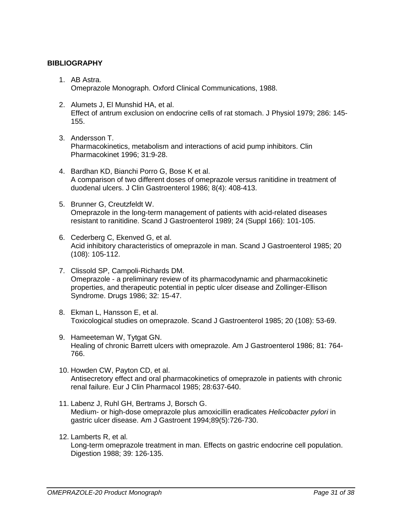# **BIBLIOGRAPHY**

- 1. AB Astra. Omeprazole Monograph. Oxford Clinical Communications, 1988.
- 2. Alumets J, El Munshid HA, et al. Effect of antrum exclusion on endocrine cells of rat stomach. J Physiol 1979; 286: 145- 155.
- 3. Andersson T. Pharmacokinetics, metabolism and interactions of acid pump inhibitors. Clin Pharmacokinet 1996; 31:9-28.
- 4. Bardhan KD, Bianchi Porro G, Bose K et al. A comparison of two different doses of omeprazole versus ranitidine in treatment of duodenal ulcers. J Clin Gastroenterol 1986; 8(4): 408-413.
- 5. Brunner G, Creutzfeldt W. Omeprazole in the long-term management of patients with acid-related diseases resistant to ranitidine. Scand J Gastroenterol 1989; 24 (Suppl 166): 101-105.
- 6. Cederberg C, Ekenved G, et al. Acid inhibitory characteristics of omeprazole in man. Scand J Gastroenterol 1985; 20 (108): 105-112.
- 7. Clissold SP, Campoli-Richards DM. Omeprazole - a preliminary review of its pharmacodynamic and pharmacokinetic properties, and therapeutic potential in peptic ulcer disease and Zollinger-Ellison Syndrome. Drugs 1986; 32: 15-47.
- 8. Ekman L, Hansson E, et al. Toxicological studies on omeprazole. Scand J Gastroenterol 1985; 20 (108): 53-69.
- 9. Hameeteman W, Tytgat GN. Healing of chronic Barrett ulcers with omeprazole. Am J Gastroenterol 1986; 81: 764- 766.
- 10. Howden CW, Payton CD, et al. Antisecretory effect and oral pharmacokinetics of omeprazole in patients with chronic renal failure. Eur J Clin Pharmacol 1985; 28:637-640.
- 11. Labenz J, Ruhl GH, Bertrams J, Borsch G. Medium- or high-dose omeprazole plus amoxicillin eradicates *Helicobacter pylori* in gastric ulcer disease. Am J Gastroent 1994;89(5):726-730.
- 12. Lamberts R, et al.

Long-term omeprazole treatment in man. Effects on gastric endocrine cell population. Digestion 1988; 39: 126-135.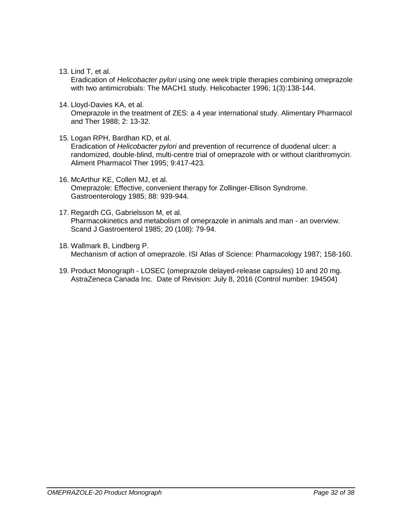13. Lind T, et al.

Eradication of *Helicobacter pylori* using one week triple therapies combining omeprazole with two antimicrobials: The MACH1 study. Helicobacter 1996; 1(3):138-144.

14. Lloyd-Davies KA, et al.

Omeprazole in the treatment of ZES: a 4 year international study. Alimentary Pharmacol and Ther 1988; 2: 13-32.

- 15. Logan RPH, Bardhan KD, et al. Eradication of *Helicobacter pylori* and prevention of recurrence of duodenal ulcer: a randomized, double-blind, multi-centre trial of omeprazole with or without clarithromycin. Aliment Pharmacol Ther 1995; 9:417-423.
- 16. McArthur KE, Collen MJ, et al. Omeprazole: Effective, convenient therapy for Zollinger-Ellison Syndrome. Gastroenterology 1985; 88: 939-944.
- 17. Regardh CG, Gabrielsson M, et al. Pharmacokinetics and metabolism of omeprazole in animals and man - an overview. Scand J Gastroenterol 1985; 20 (108): 79-94.
- 18. Wallmark B, Lindberg P. Mechanism of action of omeprazole. ISI Atlas of Science: Pharmacology 1987; 158-160.
- 19. Product Monograph LOSEC (omeprazole delayed-release capsules) 10 and 20 mg. AstraZeneca Canada Inc. Date of Revision: July 8, 2016 (Control number: 194504)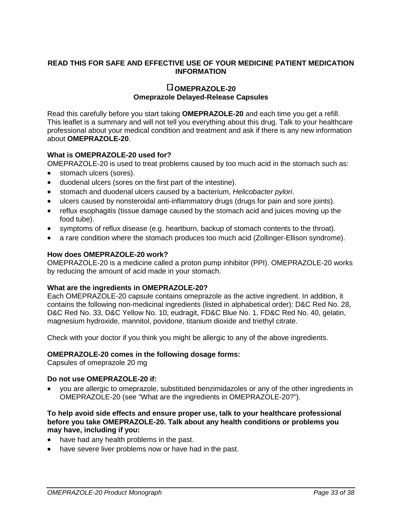# **READ THIS FOR SAFE AND EFFECTIVE USE OF YOUR MEDICINE PATIENT MEDICATION INFORMATION**

#### **OMEPRAZOLE-20 Omeprazole Delayed-Release Capsules**

Read this carefully before you start taking **OMEPRAZOLE-20** and each time you get a refill. This leaflet is a summary and will not tell you everything about this drug. Talk to your healthcare professional about your medical condition and treatment and ask if there is any new information about **OMEPRAZOLE-20**.

# **What is OMEPRAZOLE-20 used for?**

OMEPRAZOLE-20 is used to treat problems caused by too much acid in the stomach such as:

- stomach ulcers (sores).
- duodenal ulcers (sores on the first part of the intestine).
- stomach and duodenal ulcers caused by a bacterium, *Helicobacter pylori*.
- ulcers caused by nonsteroidal anti-inflammatory drugs (drugs for pain and sore joints).
- reflux esophagitis (tissue damage caused by the stomach acid and juices moving up the food tube).
- symptoms of reflux disease (e.g. heartburn, backup of stomach contents to the throat).
- a rare condition where the stomach produces too much acid (Zollinger-Ellison syndrome).

### **How does OMEPRAZOLE-20 work?**

OMEPRAZOLE-20 is a medicine called a proton pump inhibitor (PPI). OMEPRAZOLE-20 works by reducing the amount of acid made in your stomach.

### **What are the ingredients in OMEPRAZOLE-20?**

Each OMEPRAZOLE-20 capsule contains omeprazole as the active ingredient. In addition, it contains the following non-medicinal ingredients (listed in alphabetical order): D&C Red No. 28, D&C Red No. 33, D&C Yellow No. 10, eudragit, FD&C Blue No. 1, FD&C Red No. 40, gelatin, magnesium hydroxide, mannitol, povidone, titanium dioxide and triethyl citrate.

Check with your doctor if you think you might be allergic to any of the above ingredients.

### **OMEPRAZOLE-20 comes in the following dosage forms:**

Capsules of omeprazole 20 mg

### **Do not use OMEPRAZOLE-20 if:**

• you are allergic to omeprazole, substituted benzimidazoles or any of the other ingredients in OMEPRAZOLE-20 (see "What are the ingredients in OMEPRAZOLE-20?").

#### **To help avoid side effects and ensure proper use, talk to your healthcare professional before you take OMEPRAZOLE-20. Talk about any health conditions or problems you may have, including if you:**

- have had any health problems in the past.
- have severe liver problems now or have had in the past.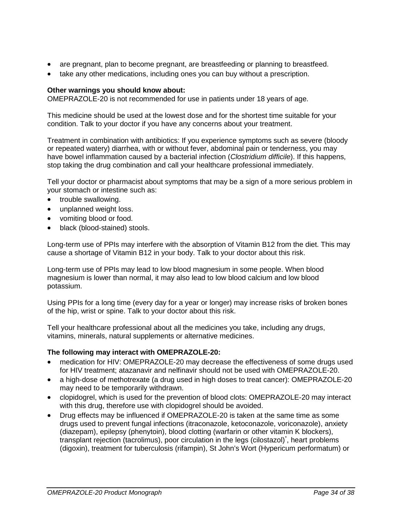- are pregnant, plan to become pregnant, are breastfeeding or planning to breastfeed.
- take any other medications, including ones you can buy without a prescription.

## **Other warnings you should know about:**

OMEPRAZOLE-20 is not recommended for use in patients under 18 years of age.

This medicine should be used at the lowest dose and for the shortest time suitable for your condition. Talk to your doctor if you have any concerns about your treatment.

Treatment in combination with antibiotics: If you experience symptoms such as severe (bloody or repeated watery) diarrhea, with or without fever, abdominal pain or tenderness, you may have bowel inflammation caused by a bacterial infection (*Clostridium difficile*). If this happens, stop taking the drug combination and call your healthcare professional immediately.

Tell your doctor or pharmacist about symptoms that may be a sign of a more serious problem in your stomach or intestine such as:

- trouble swallowing.
- unplanned weight loss.
- vomiting blood or food.
- black (blood-stained) stools.

Long-term use of PPIs may interfere with the absorption of Vitamin B12 from the diet. This may cause a shortage of Vitamin B12 in your body. Talk to your doctor about this risk.

Long-term use of PPIs may lead to low blood magnesium in some people. When blood magnesium is lower than normal, it may also lead to low blood calcium and low blood potassium.

Using PPIs for a long time (every day for a year or longer) may increase risks of broken bones of the hip, wrist or spine. Talk to your doctor about this risk.

Tell your healthcare professional about all the medicines you take, including any drugs, vitamins, minerals, natural supplements or alternative medicines.

### **The following may interact with OMEPRAZOLE-20:**

- medication for HIV: OMEPRAZOLE-20 may decrease the effectiveness of some drugs used for HIV treatment; atazanavir and nelfinavir should not be used with OMEPRAZOLE-20.
- a high-dose of methotrexate (a drug used in high doses to treat cancer): OMEPRAZOLE-20 may need to be temporarily withdrawn.
- clopidogrel, which is used for the prevention of blood clots: OMEPRAZOLE-20 may interact with this drug, therefore use with clopidogrel should be avoided.
- Drug effects may be influenced if OMEPRAZOLE-20 is taken at the same time as some drugs used to prevent fungal infections (itraconazole, ketoconazole, voriconazole), anxiety (diazepam), epilepsy (phenytoin), blood clotting (warfarin or other vitamin K blockers), transplant rejection (tacrolimus), poor circulation in the legs (cilostazol)<sup>\*</sup>, heart problems (digoxin), treatment for tuberculosis (rifampin), St John's Wort (Hypericum performatum) or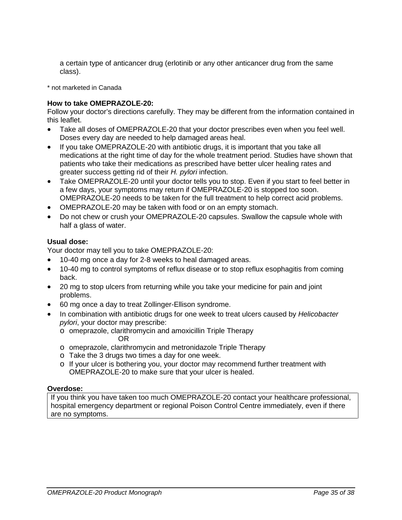a certain type of anticancer drug (erlotinib or any other anticancer drug from the same class).

\* not marketed in Canada

#### **How to take OMEPRAZOLE-20:**

Follow your doctor's directions carefully. They may be different from the information contained in this leaflet.

- Take all doses of OMEPRAZOLE-20 that your doctor prescribes even when you feel well. Doses every day are needed to help damaged areas heal.
- If you take OMEPRAZOLE-20 with antibiotic drugs, it is important that you take all medications at the right time of day for the whole treatment period. Studies have shown that patients who take their medications as prescribed have better ulcer healing rates and greater success getting rid of their *H. pylori* infection.
- Take OMEPRAZOLE-20 until your doctor tells you to stop. Even if you start to feel better in a few days, your symptoms may return if OMEPRAZOLE-20 is stopped too soon. OMEPRAZOLE-20 needs to be taken for the full treatment to help correct acid problems.
- OMEPRAZOLE-20 may be taken with food or on an empty stomach.
- Do not chew or crush your OMEPRAZOLE-20 capsules. Swallow the capsule whole with half a glass of water.

#### **Usual dose:**

Your doctor may tell you to take OMEPRAZOLE-20:

- 10-40 mg once a day for 2-8 weeks to heal damaged areas.
- 10-40 mg to control symptoms of reflux disease or to stop reflux esophagitis from coming back.
- 20 mg to stop ulcers from returning while you take your medicine for pain and joint problems.
- 60 mg once a day to treat Zollinger-Ellison syndrome.
- In combination with antibiotic drugs for one week to treat ulcers caused by *Helicobacter pylori*, your doctor may prescribe:
	- o omeprazole, clarithromycin and amoxicillin Triple Therapy OR
	- o omeprazole, clarithromycin and metronidazole Triple Therapy
	- o Take the 3 drugs two times a day for one week.
	- o If your ulcer is bothering you, your doctor may recommend further treatment with OMEPRAZOLE-20 to make sure that your ulcer is healed.

#### **Overdose:**

If you think you have taken too much OMEPRAZOLE-20 contact your healthcare professional, hospital emergency department or regional Poison Control Centre immediately, even if there are no symptoms.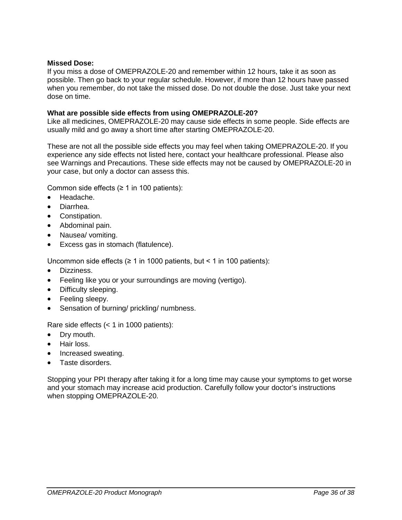#### **Missed Dose:**

If you miss a dose of OMEPRAZOLE-20 and remember within 12 hours, take it as soon as possible. Then go back to your regular schedule. However, if more than 12 hours have passed when you remember, do not take the missed dose. Do not double the dose. Just take your next dose on time.

#### **What are possible side effects from using OMEPRAZOLE-20?**

Like all medicines, OMEPRAZOLE-20 may cause side effects in some people. Side effects are usually mild and go away a short time after starting OMEPRAZOLE-20.

These are not all the possible side effects you may feel when taking OMEPRAZOLE-20. If you experience any side effects not listed here, contact your healthcare professional. Please also see Warnings and Precautions. These side effects may not be caused by OMEPRAZOLE-20 in your case, but only a doctor can assess this.

Common side effects  $(≥ 1$  in 100 patients):

- Headache.
- Diarrhea.
- Constipation.
- Abdominal pain.
- Nausea/ vomiting.
- Excess gas in stomach (flatulence).

Uncommon side effects ( $\geq 1$  in 1000 patients, but < 1 in 100 patients):

- Dizziness.
- Feeling like you or your surroundings are moving (vertigo).
- Difficulty sleeping.
- Feeling sleepy.
- Sensation of burning/ prickling/ numbness.

Rare side effects (< 1 in 1000 patients):

- Drv mouth.
- Hair loss.
- Increased sweating.
- Taste disorders.

Stopping your PPI therapy after taking it for a long time may cause your symptoms to get worse and your stomach may increase acid production. Carefully follow your doctor's instructions when stopping OMEPRAZOLE-20.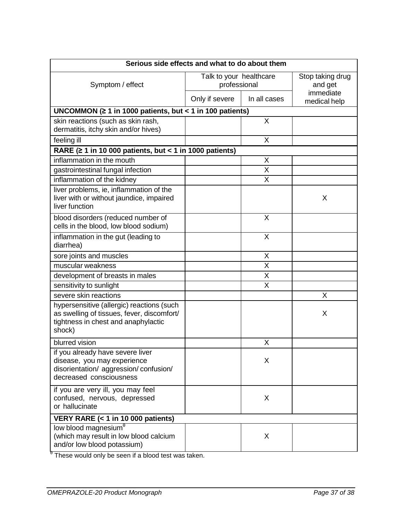| Serious side effects and what to do about them                                                                                           |                                         |                         |                             |
|------------------------------------------------------------------------------------------------------------------------------------------|-----------------------------------------|-------------------------|-----------------------------|
| Symptom / effect                                                                                                                         | Talk to your healthcare<br>professional |                         | Stop taking drug<br>and get |
|                                                                                                                                          | Only if severe                          | In all cases            | immediate<br>medical help   |
| UNCOMMON ( $\geq 1$ in 1000 patients, but < 1 in 100 patients)                                                                           |                                         |                         |                             |
| skin reactions (such as skin rash,<br>dermatitis, itchy skin and/or hives)                                                               |                                         | X                       |                             |
| feeling ill                                                                                                                              |                                         | X                       |                             |
| RARE ( $\geq 1$ in 10 000 patients, but < 1 in 1000 patients)                                                                            |                                         |                         |                             |
| inflammation in the mouth                                                                                                                |                                         | X                       |                             |
| gastrointestinal fungal infection                                                                                                        |                                         | $\overline{\mathsf{X}}$ |                             |
| inflammation of the kidney                                                                                                               |                                         | X                       |                             |
| liver problems, ie, inflammation of the<br>liver with or without jaundice, impaired<br>liver function                                    |                                         |                         | X                           |
| blood disorders (reduced number of<br>cells in the blood, low blood sodium)                                                              |                                         | X                       |                             |
| inflammation in the gut (leading to<br>diarrhea)                                                                                         |                                         | X                       |                             |
| sore joints and muscles                                                                                                                  |                                         | X                       |                             |
| muscular weakness                                                                                                                        |                                         | X                       |                             |
| development of breasts in males                                                                                                          |                                         | X                       |                             |
| sensitivity to sunlight                                                                                                                  |                                         | Χ                       |                             |
| severe skin reactions                                                                                                                    |                                         |                         | X                           |
| hypersensitive (allergic) reactions (such<br>as swelling of tissues, fever, discomfort/<br>tightness in chest and anaphylactic<br>shock) |                                         |                         | X                           |
| blurred vision                                                                                                                           |                                         | X                       |                             |
| if you already have severe liver<br>disease, you may experience<br>disorientation/ aggression/confusion/<br>decreased consciousness      |                                         | X                       |                             |
| if you are very ill, you may feel<br>confused, nervous, depressed<br>or hallucinate                                                      |                                         | X                       |                             |
| VERY RARE (< 1 in 10 000 patients)                                                                                                       |                                         |                         |                             |
| low blood magnesium <sup>e</sup><br>(which may result in low blood calcium<br>and/or low blood potassium)                                |                                         | X                       |                             |

<sup>θ</sup> These would only be seen if a blood test was taken.